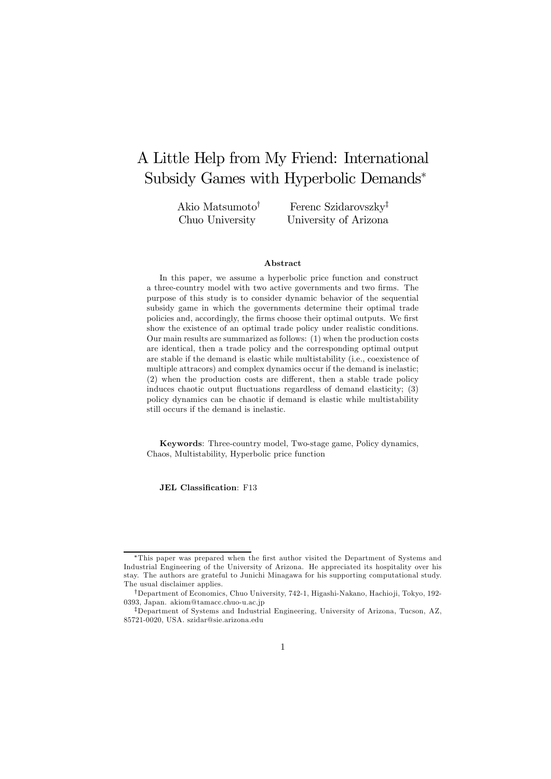# A Little Help from My Friend: International Subsidy Games with Hyperbolic Demands<sup>∗</sup>

Akio Matsumoto† Chuo University

Ferenc Szidarovszky‡ University of Arizona

#### Abstract

In this paper, we assume a hyperbolic price function and construct a three-country model with two active governments and two firms. The purpose of this study is to consider dynamic behavior of the sequential subsidy game in which the governments determine their optimal trade policies and, accordingly, the firms choose their optimal outputs. We first show the existence of an optimal trade policy under realistic conditions. Our main results are summarized as follows: (1) when the production costs are identical, then a trade policy and the corresponding optimal output are stable if the demand is elastic while multistability (i.e., coexistence of multiple attracors) and complex dynamics occur if the demand is inelastic; (2) when the production costs are different, then a stable trade policy induces chaotic output fluctuations regardless of demand elasticity; (3) policy dynamics can be chaotic if demand is elastic while multistability still occurs if the demand is inelastic.

Keywords: Three-country model, Two-stage game, Policy dynamics, Chaos, Multistability, Hyperbolic price function

JEL Classification: F13

<sup>∗</sup>This paper was prepared when the first author visited the Department of Systems and Industrial Engineering of the University of Arizona. He appreciated its hospitality over his stay. The authors are grateful to Junichi Minagawa for his supporting computational study. The usual disclaimer applies.

<sup>†</sup>Department of Economics, Chuo University, 742-1, Higashi-Nakano, Hachio ji, Tokyo, 192- 0393, Japan. akiom@tamacc.chuo-u.ac.jp

<sup>‡</sup>Department of Systems and Industrial Engineering, University of Arizona, Tucson, AZ, 85721-0020, USA. szidar@sie.arizona.edu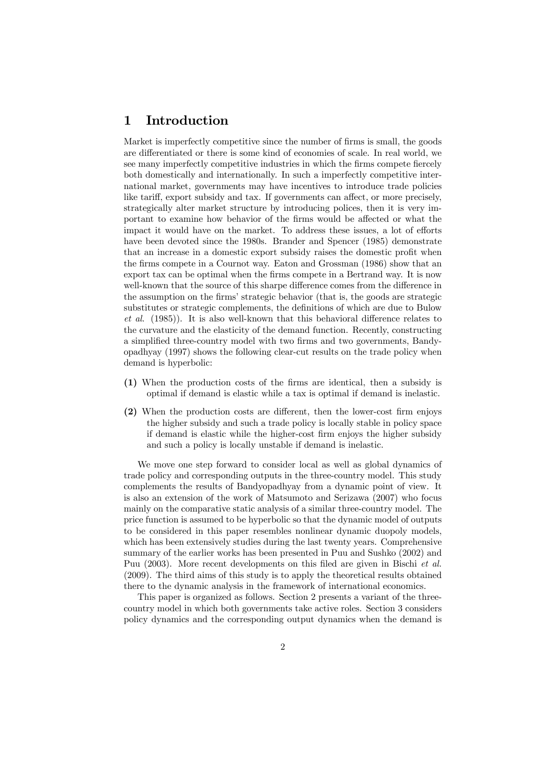### 1 Introduction

Market is imperfectly competitive since the number of firms is small, the goods are differentiated or there is some kind of economies of scale. In real world, we see many imperfectly competitive industries in which the firms compete fiercely both domestically and internationally. In such a imperfectly competitive international market, governments may have incentives to introduce trade policies like tariff, export subsidy and tax. If governments can affect, or more precisely, strategically alter market structure by introducing polices, then it is very important to examine how behavior of the firms would be affected or what the impact it would have on the market. To address these issues, a lot of efforts have been devoted since the 1980s. Brander and Spencer (1985) demonstrate that an increase in a domestic export subsidy raises the domestic profit when the firms compete in a Cournot way. Eaton and Grossman (1986) show that an export tax can be optimal when the firms compete in a Bertrand way. It is now well-known that the source of this sharpe difference comes from the difference in the assumption on the firms' strategic behavior (that is, the goods are strategic substitutes or strategic complements, the definitions of which are due to Bulow et al. (1985)). It is also well-known that this behavioral difference relates to the curvature and the elasticity of the demand function. Recently, constructing a simplified three-country model with two firms and two governments, Bandyopadhyay (1997) shows the following clear-cut results on the trade policy when demand is hyperbolic:

- (1) When the production costs of the firms are identical, then a subsidy is optimal if demand is elastic while a tax is optimal if demand is inelastic.
- (2) When the production costs are different, then the lower-cost firm enjoys the higher subsidy and such a trade policy is locally stable in policy space if demand is elastic while the higher-cost firm enjoys the higher subsidy and such a policy is locally unstable if demand is inelastic.

We move one step forward to consider local as well as global dynamics of trade policy and corresponding outputs in the three-country model. This study complements the results of Bandyopadhyay from a dynamic point of view. It is also an extension of the work of Matsumoto and Serizawa (2007) who focus mainly on the comparative static analysis of a similar three-country model. The price function is assumed to be hyperbolic so that the dynamic model of outputs to be considered in this paper resembles nonlinear dynamic duopoly models, which has been extensively studies during the last twenty years. Comprehensive summary of the earlier works has been presented in Puu and Sushko (2002) and Puu (2003). More recent developments on this filed are given in Bischi et al. (2009). The third aims of this study is to apply the theoretical results obtained there to the dynamic analysis in the framework of international economics.

This paper is organized as follows. Section 2 presents a variant of the threecountry model in which both governments take active roles. Section 3 considers policy dynamics and the corresponding output dynamics when the demand is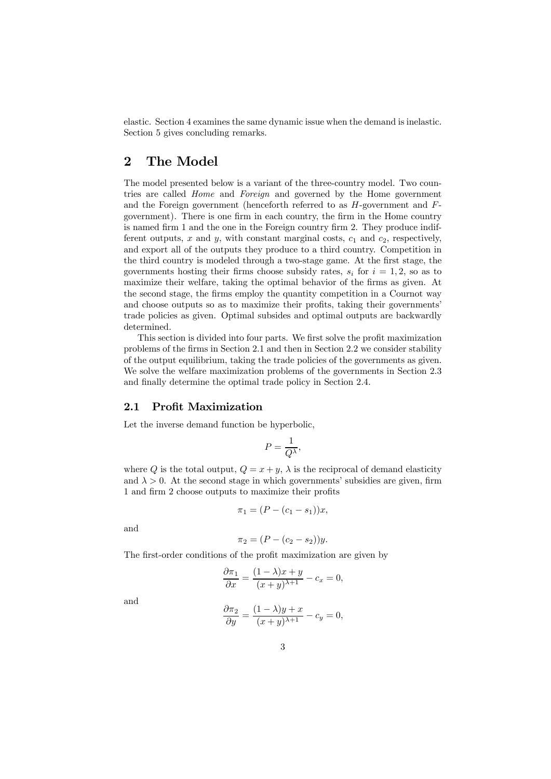elastic. Section 4 examines the same dynamic issue when the demand is inelastic. Section 5 gives concluding remarks.

# 2 The Model

The model presented below is a variant of the three-country model. Two countries are called Home and Foreign and governed by the Home government and the Foreign government (henceforth referred to as  $H$ -government and  $F$ government). There is one firm in each country, the firm in the Home country is named firm 1 and the one in the Foreign country firm 2. They produce indifferent outputs, x and y, with constant marginal costs,  $c_1$  and  $c_2$ , respectively, and export all of the outputs they produce to a third country. Competition in the third country is modeled through a two-stage game. At the first stage, the governments hosting their firms choose subsidy rates,  $s_i$  for  $i = 1, 2$ , so as to maximize their welfare, taking the optimal behavior of the firms as given. At the second stage, the firms employ the quantity competition in a Cournot way and choose outputs so as to maximize their profits, taking their governments' trade policies as given. Optimal subsides and optimal outputs are backwardly determined.

This section is divided into four parts. We first solve the profit maximization problems of the firms in Section 2.1 and then in Section 2.2 we consider stability of the output equilibrium, taking the trade policies of the governments as given. We solve the welfare maximization problems of the governments in Section 2.3 and finally determine the optimal trade policy in Section 2.4.

#### 2.1 Profit Maximization

Let the inverse demand function be hyperbolic,

$$
P = \frac{1}{Q^{\lambda}},
$$

where Q is the total output,  $Q = x + y$ ,  $\lambda$  is the reciprocal of demand elasticity and  $\lambda > 0$ . At the second stage in which governments' subsidies are given, firm 1 and firm 2 choose outputs to maximize their profits

$$
\pi_1 = (P - (c_1 - s_1))x,
$$

and

$$
\pi_2 = (P - (c_2 - s_2))y.
$$

The first-order conditions of the profit maximization are given by

$$
\frac{\partial \pi_1}{\partial x} = \frac{(1 - \lambda)x + y}{(x + y)^{\lambda + 1}} - c_x = 0,
$$

and

$$
\frac{\partial \pi_2}{\partial y} = \frac{(1 - \lambda)y + x}{(x + y)^{\lambda + 1}} - c_y = 0,
$$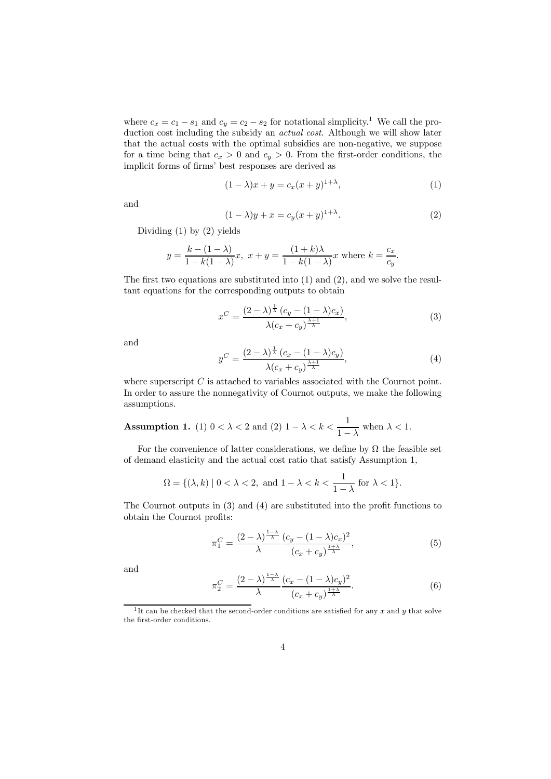where  $c_x = c_1 - s_1$  and  $c_y = c_2 - s_2$  for notational simplicity.<sup>1</sup> We call the production cost including the subsidy an actual cost. Although we will show later that the actual costs with the optimal subsidies are non-negative, we suppose for a time being that  $c_x > 0$  and  $c_y > 0$ . From the first-order conditions, the implicit forms of firms' best responses are derived as

$$
(1 - \lambda)x + y = c_x(x + y)^{1 + \lambda},\tag{1}
$$

and

$$
(1 - \lambda)y + x = c_y(x + y)^{1 + \lambda}.
$$
 (2)

Dividing  $(1)$  by  $(2)$  yields

$$
y = \frac{k - (1 - \lambda)}{1 - k(1 - \lambda)}x, \ x + y = \frac{(1 + k)\lambda}{1 - k(1 - \lambda)}x \text{ where } k = \frac{c_x}{c_y}.
$$

The first two equations are substituted into (1) and (2), and we solve the resultant equations for the corresponding outputs to obtain

$$
x^C = \frac{(2-\lambda)^{\frac{1}{\lambda}} (c_y - (1-\lambda)c_x)}{\lambda (c_x + c_y)^{\frac{\lambda+1}{\lambda}}},\tag{3}
$$

and

$$
y^C = \frac{(2-\lambda)^{\frac{1}{\lambda}}\left(c_x - (1-\lambda)c_y\right)}{\lambda(c_x + c_y)^{\frac{\lambda+1}{\lambda}}},\tag{4}
$$

where superscript  $C$  is attached to variables associated with the Cournot point. In order to assure the nonnegativity of Cournot outputs, we make the following assumptions.

**Assumption 1.** (1) 
$$
0 < \lambda < 2
$$
 and (2)  $1 - \lambda < k < \frac{1}{1 - \lambda}$  when  $\lambda < 1$ .

For the convenience of latter considerations, we define by  $\Omega$  the feasible set of demand elasticity and the actual cost ratio that satisfy Assumption 1,

$$
\Omega = \{ (\lambda, k) \mid 0 < \lambda < 2, \text{ and } 1 - \lambda < k < \frac{1}{1 - \lambda} \text{ for } \lambda < 1 \}.
$$

The Cournot outputs in (3) and (4) are substituted into the profit functions to obtain the Cournot profits:

$$
\pi_1^C = \frac{(2-\lambda)^{\frac{1-\lambda}{\lambda}}}{\lambda} \frac{(c_y - (1-\lambda)c_x)^2}{(c_x + c_y)^{\frac{1+\lambda}{\lambda}}},\tag{5}
$$

and

$$
\pi_2^C = \frac{(2-\lambda)^{\frac{1-\lambda}{\lambda}}}{\lambda} \frac{(c_x - (1-\lambda)c_y)^2}{(c_x + c_y)^{\frac{1+\lambda}{\lambda}}}.
$$
\n(6)

<sup>1</sup>It can be checked that the second-order conditions are satisfied for any x and y that solve the first-order conditions.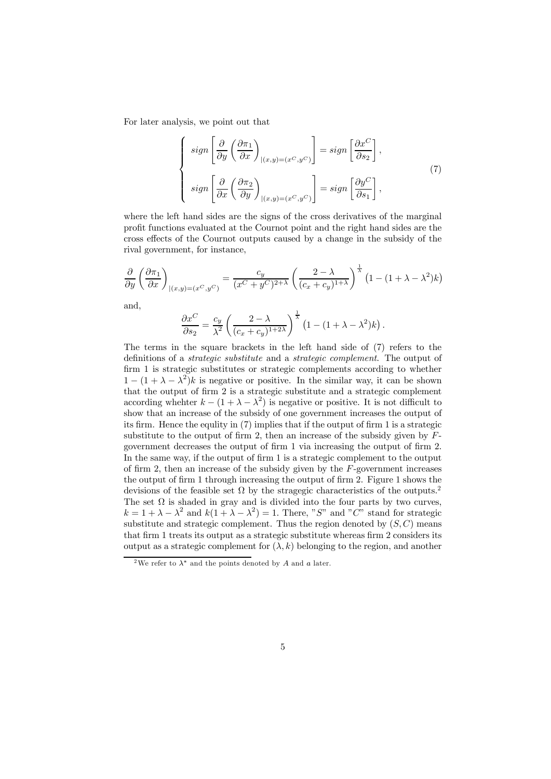For later analysis, we point out that

$$
\begin{cases}\n\sigma \sin \left[ \frac{\partial}{\partial y} \left( \frac{\partial \pi_1}{\partial x} \right)_{|(x,y)=(x^C, y^C)} \right] = \sigma \sin \left[ \frac{\partial x^C}{\partial s_2} \right], \\
\sigma \sin \left[ \frac{\partial}{\partial x} \left( \frac{\partial \pi_2}{\partial y} \right)_{|(x,y)=(x^C, y^C)} \right] = \sigma \sin \left[ \frac{\partial y^C}{\partial s_1} \right],\n\end{cases} (7)
$$

where the left hand sides are the signs of the cross derivatives of the marginal profit functions evaluated at the Cournot point and the right hand sides are the cross effects of the Cournot outputs caused by a change in the subsidy of the rival government, for instance,

$$
\frac{\partial}{\partial y} \left( \frac{\partial \pi_1}{\partial x} \right)_{|(x,y)=(x^C,y^C)} = \frac{c_y}{(x^C + y^C)^{2+\lambda}} \left( \frac{2-\lambda}{(c_x + c_y)^{1+\lambda}} \right)^{\frac{1}{\lambda}} \left( 1 - (1+\lambda - \lambda^2)k \right)
$$

and,

$$
\frac{\partial x^C}{\partial s_2} = \frac{c_y}{\lambda^2} \left( \frac{2 - \lambda}{(c_x + c_y)^{1 + 2\lambda}} \right)^{\frac{1}{\lambda}} \left( 1 - (1 + \lambda - \lambda^2) k \right).
$$

The terms in the square brackets in the left hand side of (7) refers to the definitions of a strategic substitute and a strategic complement. The output of firm 1 is strategic substitutes or strategic complements according to whether  $1 - (1 + \lambda - \lambda^2)k$  is negative or positive. In the similar way, it can be shown that the output of firm 2 is a strategic substitute and a strategic complement according whehter  $k - (1 + \lambda - \lambda^2)$  is negative or positive. It is not difficult to show that an increase of the subsidy of one government increases the output of its firm. Hence the equlity in (7) implies that if the output of firm 1 is a strategic substitute to the output of firm 2, then an increase of the subsidy given by  $F$ government decreases the output of firm 1 via increasing the output of firm 2. In the same way, if the output of firm 1 is a strategic complement to the output of firm 2, then an increase of the subsidy given by the  $F$ -government increases the output of firm 1 through increasing the output of firm 2. Figure 1 shows the devisions of the feasible set  $\Omega$  by the stragegic characteristics of the outputs.<sup>2</sup> The set  $\Omega$  is shaded in gray and is divided into the four parts by two curves,  $k = 1 + \lambda - \lambda^2$  and  $k(1 + \lambda - \lambda^2) = 1$ . There, "S" and "C" stand for strategic substitute and strategic complement. Thus the region denoted by  $(S, C)$  means that firm 1 treats its output as a strategic substitute whereas firm 2 considers its output as a strategic complement for  $(\lambda, k)$  belonging to the region, and another

<sup>&</sup>lt;sup>2</sup>We refer to  $\lambda^*$  and the points denoted by A and a later.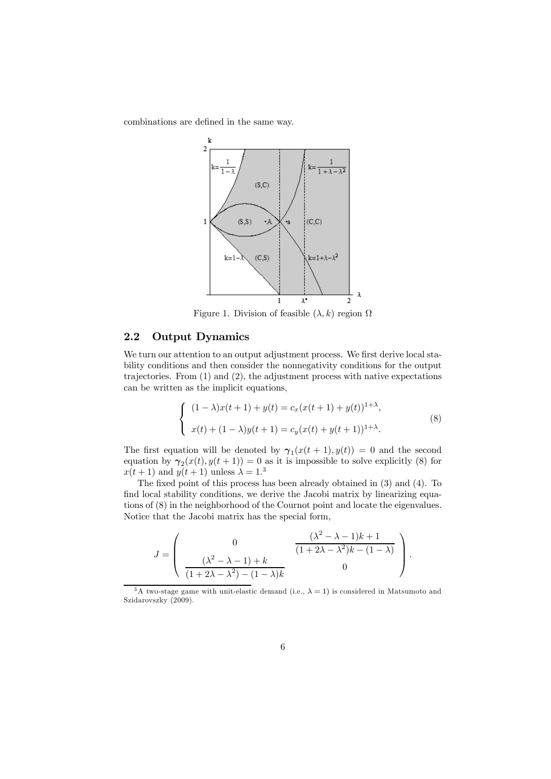combinations are defined in the same way.



Figure 1. Division of feasible  $(\lambda, k)$  region  $\Omega$ 

### 2.2 Output Dynamics

We turn our attention to an output adjustment process. We first derive local stability conditions and then consider the nonnegativity conditions for the output trajectories. From (1) and (2), the adjustment process with native expectations can be written as the implicit equations,

$$
\begin{cases} (1 - \lambda)x(t+1) + y(t) = c_x(x(t+1) + y(t))^{1+\lambda}, \\ x(t) + (1 - \lambda)y(t+1) = c_y(x(t) + y(t+1))^{1+\lambda}. \end{cases}
$$
(8)

The first equation will be denoted by  $\gamma_1(x(t+1), y(t)) = 0$  and the second equation by  $\gamma_2(x(t), y(t+1)) = 0$  as it is impossible to solve explicitly (8) for  $x(t+1)$  and  $y(t+1)$  unless  $\lambda = 1$ <sup>3</sup>

The fixed point of this process has been already obtained in (3) and (4). To find local stability conditions, we derive the Jacobi matrix by linearizing equations of (8) in the neighborhood of the Cournot point and locate the eigenvalues. Notice that the Jacobi matrix has the special form,

$$
J = \begin{pmatrix} 0 & \frac{(\lambda^2 - \lambda - 1)k + 1}{(1 + 2\lambda - \lambda^2)k - (1 - \lambda)} \\ \frac{(\lambda^2 - \lambda - 1) + k}{(1 + 2\lambda - \lambda^2) - (1 - \lambda)k} & 0 \end{pmatrix}.
$$

<sup>3</sup>A two-stage game with unit-elastic demand (i.e.,  $\lambda = 1$ ) is considered in Matsumoto and Szidarovszky (2009).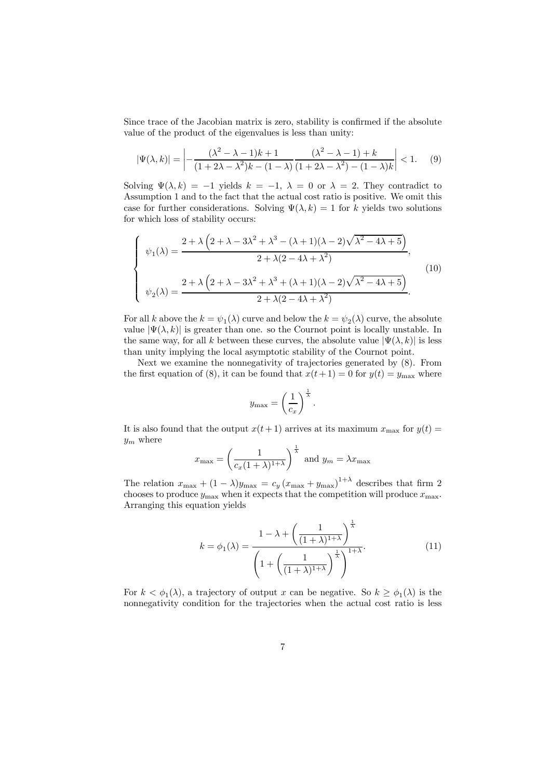Since trace of the Jacobian matrix is zero, stability is confirmed if the absolute value of the product of the eigenvalues is less than unity:

$$
|\Psi(\lambda,k)| = \left| -\frac{(\lambda^2 - \lambda - 1)k + 1}{(1 + 2\lambda - \lambda^2)k - (1 - \lambda)} \frac{(\lambda^2 - \lambda - 1) + k}{(1 + 2\lambda - \lambda^2) - (1 - \lambda)k} \right| < 1. \tag{9}
$$

Solving  $\Psi(\lambda, k) = -1$  yields  $k = -1$ ,  $\lambda = 0$  or  $\lambda = 2$ . They contradict to Assumption 1 and to the fact that the actual cost ratio is positive. We omit this case for further considerations. Solving  $\Psi(\lambda, k)=1$  for k yields two solutions for which loss of stability occurs:

$$
\begin{cases}\n\psi_1(\lambda) = \frac{2 + \lambda \left(2 + \lambda - 3\lambda^2 + \lambda^3 - (\lambda + 1)(\lambda - 2)\sqrt{\lambda^2 - 4\lambda + 5}\right)}{2 + \lambda(2 - 4\lambda + \lambda^2)},\\ \n\psi_2(\lambda) = \frac{2 + \lambda \left(2 + \lambda - 3\lambda^2 + \lambda^3 + (\lambda + 1)(\lambda - 2)\sqrt{\lambda^2 - 4\lambda + 5}\right)}{2 + \lambda(2 - 4\lambda + \lambda^2)}.\n\end{cases}
$$
\n(10)

For all k above the  $k = \psi_1(\lambda)$  curve and below the  $k = \psi_2(\lambda)$  curve, the absolute value  $|\Psi(\lambda, k)|$  is greater than one. so the Cournot point is locally unstable. In the same way, for all k between these curves, the absolute value  $|\Psi(\lambda, k)|$  is less than unity implying the local asymptotic stability of the Cournot point.

Next we examine the nonnegativity of trajectories generated by (8). From the first equation of (8), it can be found that  $x(t+1) = 0$  for  $y(t) = y_{\text{max}}$  where

$$
y_{\max} = \left(\frac{1}{c_x}\right)^{\frac{1}{\lambda}}.
$$

It is also found that the output  $x(t + 1)$  arrives at its maximum  $x_{\text{max}}$  for  $y(t) =$  $y_m$  where

$$
x_{\max} = \left(\frac{1}{c_x(1+\lambda)^{1+\lambda}}\right)^{\frac{1}{\lambda}}
$$
 and  $y_m = \lambda x_{\max}$ 

The relation  $x_{\text{max}} + (1 - \lambda)y_{\text{max}} = c_y (x_{\text{max}} + y_{\text{max}})^{1 + \lambda}$  describes that firm 2 chooses to produce  $y_{\text{max}}$  when it expects that the competition will produce  $x_{\text{max}}$ . Arranging this equation yields

$$
k = \phi_1(\lambda) = \frac{1 - \lambda + \left(\frac{1}{(1 + \lambda)^{1 + \lambda}}\right)^{\frac{1}{\lambda}}}{\left(1 + \left(\frac{1}{(1 + \lambda)^{1 + \lambda}}\right)^{\frac{1}{\lambda}}\right)^{1 + \lambda}}.
$$
(11)

For  $k < \phi_1(\lambda)$ , a trajectory of output x can be negative. So  $k \geq \phi_1(\lambda)$  is the nonnegativity condition for the trajectories when the actual cost ratio is less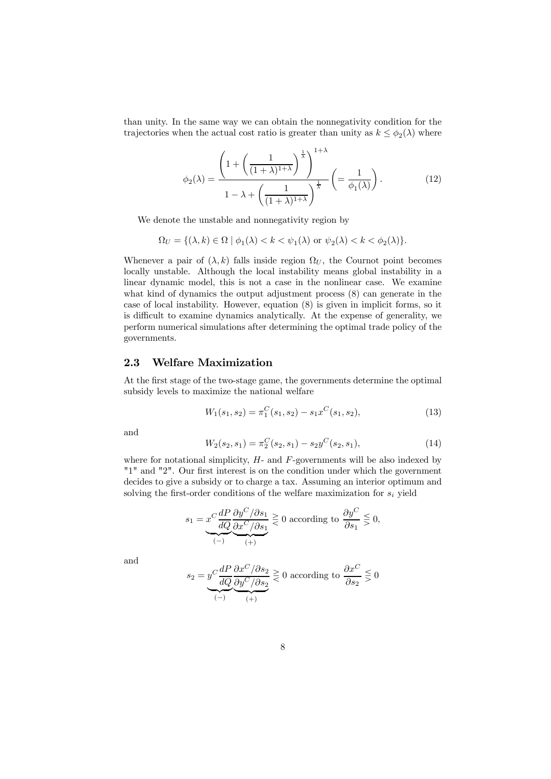than unity. In the same way we can obtain the nonnegativity condition for the trajectories when the actual cost ratio is greater than unity as  $k \leq \phi_2(\lambda)$  where

$$
\phi_2(\lambda) = \frac{\left(1 + \left(\frac{1}{(1+\lambda)^{1+\lambda}}\right)^{\frac{1}{\lambda}}\right)^{1+\lambda}}{1 - \lambda + \left(\frac{1}{(1+\lambda)^{1+\lambda}}\right)^{\frac{1}{\lambda}}} \left(=\frac{1}{\phi_1(\lambda)}\right). \tag{12}
$$

We denote the unstable and nonnegativity region by

$$
\Omega_U = \{ (\lambda, k) \in \Omega \mid \phi_1(\lambda) < k < \psi_1(\lambda) \text{ or } \psi_2(\lambda) < k < \phi_2(\lambda) \}.
$$

Whenever a pair of  $(\lambda, k)$  falls inside region  $\Omega_U$ , the Cournot point becomes locally unstable. Although the local instability means global instability in a linear dynamic model, this is not a case in the nonlinear case. We examine what kind of dynamics the output adjustment process (8) can generate in the case of local instability. However, equation (8) is given in implicit forms, so it is difficult to examine dynamics analytically. At the expense of generality, we perform numerical simulations after determining the optimal trade policy of the governments.

### 2.3 Welfare Maximization

At the first stage of the two-stage game, the governments determine the optimal subsidy levels to maximize the national welfare

$$
W_1(s_1, s_2) = \pi_1^C(s_1, s_2) - s_1 x^C(s_1, s_2), \tag{13}
$$

and

$$
W_2(s_2, s_1) = \pi_2^C(s_2, s_1) - s_2 y^C(s_2, s_1), \tag{14}
$$

where for notational simplicity,  $H$ - and  $F$ -governments will be also indexed by "1" and "2". Our first interest is on the condition under which the government decides to give a subsidy or to charge a tax. Assuming an interior optimum and solving the first-order conditions of the welfare maximization for  $s_i$  yield

$$
s_1 = \underbrace{x^C \frac{dP}{dQ} \frac{\partial y^C}{\partial x^C / \partial s_1}}_{(-)} \geq 0
$$
 according to 
$$
\underbrace{\frac{\partial y^C}{\partial s_1}}_{(+)} \leq 0,
$$

and

$$
s_2 = \underbrace{y^C \frac{dP}{dQ} \frac{\partial x^C}{\partial y^C/\partial s_2}}_{(-)} \ge 0
$$
 according to 
$$
\underbrace{\frac{\partial x^C}{\partial s_2}}_{(+)} \le 0
$$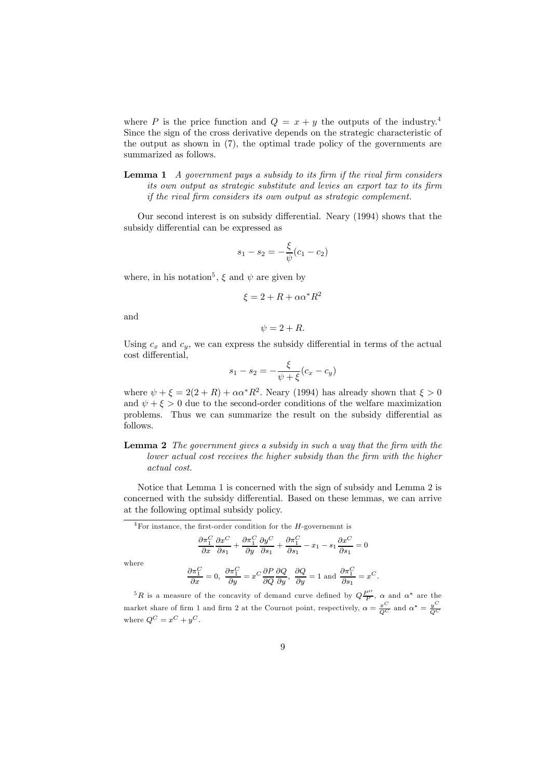where P is the price function and  $Q = x + y$  the outputs of the industry.<sup>4</sup> Since the sign of the cross derivative depends on the strategic characteristic of the output as shown in (7), the optimal trade policy of the governments are summarized as follows.

**Lemma 1** A government pays a subsidy to its firm if the rival firm considers its own output as strategic substitute and levies an export tax to its firm if the rival firm considers its own output as strategic complement.

Our second interest is on subsidy differential. Neary (1994) shows that the subsidy differential can be expressed as

$$
s_1 - s_2 = -\frac{\xi}{\psi}(c_1 - c_2)
$$

where, in his notation<sup>5</sup>,  $\xi$  and  $\psi$  are given by

$$
\xi = 2 + R + \alpha \alpha^* R^2
$$

and

$$
\psi = 2 + R.
$$

Using  $c_x$  and  $c_y$ , we can express the subsidy differential in terms of the actual cost differential,

$$
s_1 - s_2 = -\frac{\xi}{\psi + \xi}(c_x - c_y)
$$

where  $\psi + \xi = 2(2 + R) + \alpha \alpha^* R^2$ . Neary (1994) has already shown that  $\xi > 0$ and  $\psi + \xi > 0$  due to the second-order conditions of the welfare maximization problems. Thus we can summarize the result on the subsidy differential as follows.

Lemma 2 The government gives a subsidy in such a way that the firm with the lower actual cost receives the higher subsidy than the firm with the higher actual cost.

Notice that Lemma 1 is concerned with the sign of subsidy and Lemma 2 is concerned with the subsidy differential. Based on these lemmas, we can arrive at the following optimal subsidy policy.

 $4$ For instance, the first-order condition for the H-governemnt is

$$
\frac{\partial \pi_1^C}{\partial x} \frac{\partial x^C}{\partial s_1} + \frac{\partial \pi_1^C}{\partial y} \frac{\partial y^C}{\partial s_1} + \frac{\partial \pi_1^C}{\partial s_1} - x_1 - s_1 \frac{\partial x^C}{\partial s_1} = 0
$$

where

$$
\frac{\partial \pi_1^C}{\partial x} = 0, \quad \frac{\partial \pi_1^C}{\partial y} = x^C \frac{\partial P}{\partial Q} \frac{\partial Q}{\partial y}, \quad \frac{\partial Q}{\partial y} = 1 \text{ and } \frac{\partial \pi_1^C}{\partial s_1} = x^C.
$$

<sup>5</sup>R is a measure of the concavity of demand curve defined by  $Q\frac{P''}{P}$ ,  $\alpha$  and  $\alpha^*$  are the market share of firm 1 and firm 2 at the Cournot point, respectively,  $\alpha = \frac{x^C}{Q^C}$  and  $\alpha^* = \frac{y^C}{Q^C}$ where  $Q^C = x^C + y^C$ .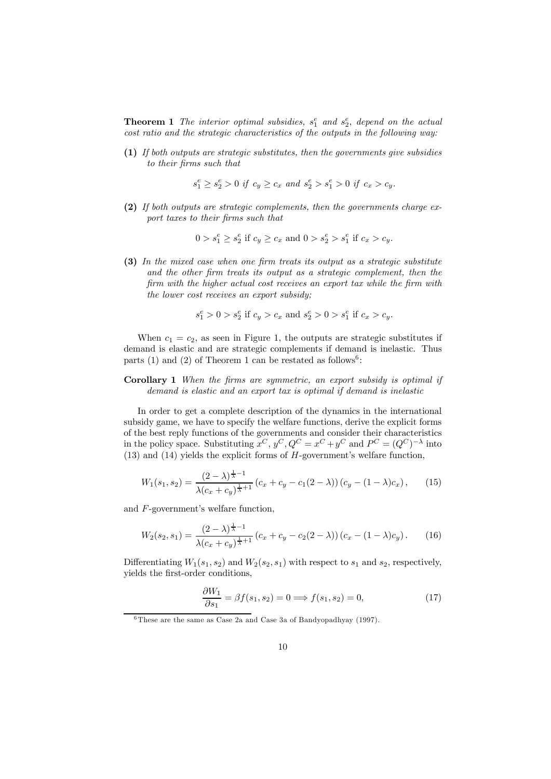**Theorem 1** The interior optimal subsidies,  $s_1^e$  and  $s_2^e$ , depend on the actual cost ratio and the strategic characteristics of the outputs in the following way:

(1) If both outputs are strategic substitutes, then the governments give subsidies to their firms such that

$$
s_1^e \geq s_2^e > 0 \ \textit{if} \ \ c_y \geq c_x \ \textit{and} \ s_2^e > s_1^e > 0 \ \textit{if} \ \ c_x > c_y.
$$

(2) If both outputs are strategic complements, then the governments charge export taxes to their firms such that

$$
0>s_1^e\geq s_2^e\text{ if }c_y\geq c_x\text{ and }0>s_2^e>s_1^e\text{ if }c_x>c_y.
$$

(3) In the mixed case when one firm treats its output as a strategic substitute and the other firm treats its output as a strategic complement, then the firm with the higher actual cost receives an export tax while the firm with the lower cost receives an export subsidy;

$$
s_1^e > 0 > s_2^e \text{ if } c_y > c_x \text{ and } s_2^e > 0 > s_1^e \text{ if } c_x > c_y.
$$

When  $c_1 = c_2$ , as seen in Figure 1, the outputs are strategic substitutes if demand is elastic and are strategic complements if demand is inelastic. Thus parts (1) and (2) of Theorem 1 can be restated as follows<sup>6</sup>:

#### Corollary 1 When the firms are symmetric, an export subsidy is optimal if demand is elastic and an export tax is optimal if demand is inelastic

In order to get a complete description of the dynamics in the international subsidy game, we have to specify the welfare functions, derive the explicit forms of the best reply functions of the governments and consider their characteristics in the policy space. Substituting  $x^C$ ,  $y^C$ ,  $Q^C = x^C + y^C$  and  $P^C = (Q^C)^{-\lambda}$  into (13) and (14) yields the explicit forms of H-government's welfare function,

$$
W_1(s_1, s_2) = \frac{(2-\lambda)^{\frac{1}{\lambda}-1}}{\lambda(c_x + c_y)^{\frac{1}{\lambda}+1}} \left(c_x + c_y - c_1(2-\lambda)\right) \left(c_y - (1-\lambda)c_x\right),\tag{15}
$$

and F-government's welfare function,

$$
W_2(s_2, s_1) = \frac{(2-\lambda)^{\frac{1}{\lambda}-1}}{\lambda (c_x + c_y)^{\frac{1}{\lambda}+1}} (c_x + c_y - c_2(2-\lambda)) (c_x - (1-\lambda)c_y).
$$
 (16)

Differentiating  $W_1(s_1, s_2)$  and  $W_2(s_2, s_1)$  with respect to  $s_1$  and  $s_2$ , respectively, yields the first-order conditions,

$$
\frac{\partial W_1}{\partial s_1} = \beta f(s_1, s_2) = 0 \Longrightarrow f(s_1, s_2) = 0,\tag{17}
$$

<sup>6</sup>These are the same as Case 2a and Case 3a of Bandyopadhyay (1997).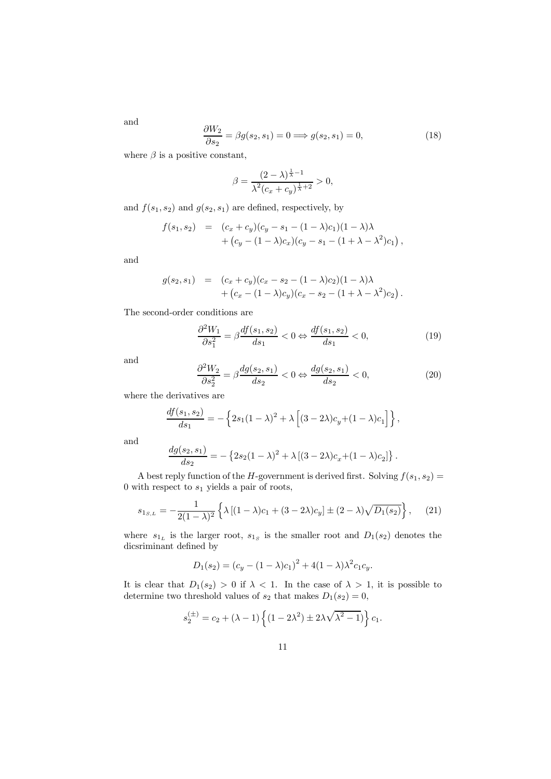$\partial W_2$  $\frac{\partial S_2}{\partial s_2} = \beta g(s_2, s_1) = 0 \Longrightarrow g(s_2, s_1) = 0,$  (18)

where  $\beta$  is a positive constant,

$$
\beta = \frac{(2-\lambda)^{\frac{1}{\lambda}-1}}{\lambda^2 (c_x + c_y)^{\frac{1}{\lambda}+2}} > 0,
$$

and  $f(s_1, s_2)$  and  $g(s_2, s_1)$  are defined, respectively, by

$$
f(s_1, s_2) = (c_x + c_y)(c_y - s_1 - (1 - \lambda)c_1)(1 - \lambda)\lambda + (c_y - (1 - \lambda)c_x)(c_y - s_1 - (1 + \lambda - \lambda^2)c_1),
$$

and

$$
g(s_2, s_1) = (c_x + c_y)(c_x - s_2 - (1 - \lambda)c_2)(1 - \lambda)\lambda + (c_x - (1 - \lambda)c_y)(c_x - s_2 - (1 + \lambda - \lambda^2)c_2).
$$

The second-order conditions are

$$
\frac{\partial^2 W_1}{\partial s_1^2} = \beta \frac{df(s_1, s_2)}{ds_1} < 0 \Leftrightarrow \frac{df(s_1, s_2)}{ds_1} < 0,\tag{19}
$$

and

$$
\frac{\partial^2 W_2}{\partial s_2^2} = \beta \frac{dg(s_2, s_1)}{ds_2} < 0 \Leftrightarrow \frac{dg(s_2, s_1)}{ds_2} < 0,\tag{20}
$$

where the derivatives are

$$
\frac{df(s_1, s_2)}{ds_1} = -\left\{2s_1(1-\lambda)^2 + \lambda \left[(3-2\lambda)c_y + (1-\lambda)c_1\right]\right\},\,
$$

and

$$
\frac{dg(s_2, s_1)}{ds_2} = -\left\{2s_2(1-\lambda)^2 + \lambda\left[(3-2\lambda)c_x + (1-\lambda)c_2\right]\right\}.
$$

A best reply function of the H-government is derived first. Solving  $f(s_1, s_2) =$ 0 with respect to  $s_1$  yields a pair of roots,

$$
s_{1_{S,L}} = -\frac{1}{2(1-\lambda)^2} \left\{ \lambda \left[ (1-\lambda)c_1 + (3-2\lambda)c_y \right] \pm (2-\lambda)\sqrt{D_1(s_2)} \right\},\tag{21}
$$

where  $s_{1_L}$  is the larger root,  $s_{1_S}$  is the smaller root and  $D_1(s_2)$  denotes the dicsriminant defined by

$$
D_1(s_2) = (c_y - (1 - \lambda)c_1)^2 + 4(1 - \lambda)\lambda^2 c_1 c_y.
$$

It is clear that  $D_1(s_2) > 0$  if  $\lambda < 1$ . In the case of  $\lambda > 1$ , it is possible to determine two threshold values of  $s_2$  that makes  $D_1(s_2)=0$ ,

$$
s_2^{(\pm)} = c_2 + (\lambda - 1) \left\{ (1 - 2\lambda^2) \pm 2\lambda \sqrt{\lambda^2 - 1} \right\} c_1.
$$

and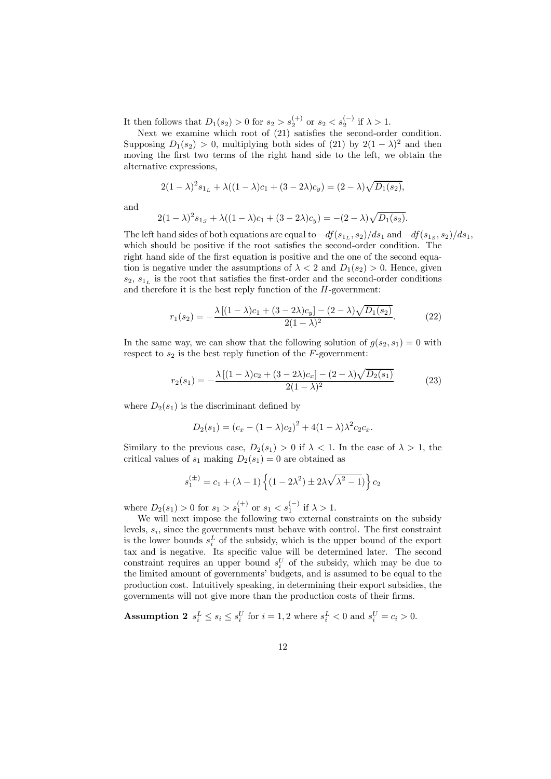It then follows that  $D_1(s_2) > 0$  for  $s_2 > s_2^{(+)}$  or  $s_2 < s_2^{(-)}$  if  $\lambda > 1$ .

Next we examine which root of (21) satisfies the second-order condition. Supposing  $D_1(s_2) > 0$ , multiplying both sides of (21) by  $2(1 - \lambda)^2$  and then moving the first two terms of the right hand side to the left, we obtain the alternative expressions,

$$
2(1 - \lambda)^2 s_{1_L} + \lambda((1 - \lambda)c_1 + (3 - 2\lambda)c_y) = (2 - \lambda)\sqrt{D_1(s_2)},
$$

and

$$
2(1 - \lambda)^2 s_{1_S} + \lambda((1 - \lambda)c_1 + (3 - 2\lambda)c_y) = -(2 - \lambda)\sqrt{D_1(s_2)}.
$$

The left hand sides of both equations are equal to  $-df(s_{1_L}, s_2)/ds_1$  and  $-df(s_{1_S}, s_2)/ds_1$ , which should be positive if the root satisfies the second-order condition. The right hand side of the first equation is positive and the one of the second equation is negative under the assumptions of  $\lambda < 2$  and  $D_1(s_2) > 0$ . Hence, given  $s_2, s_1$ , is the root that satisfies the first-order and the second-order conditions and therefore it is the best reply function of the H-government:

$$
r_1(s_2) = -\frac{\lambda \left[ (1 - \lambda)c_1 + (3 - 2\lambda)c_y \right] - (2 - \lambda)\sqrt{D_1(s_2)}}{2(1 - \lambda)^2}.
$$
 (22)

In the same way, we can show that the following solution of  $g(s_2, s_1)=0$  with respect to  $s_2$  is the best reply function of the  $F$ -government:

$$
r_2(s_1) = -\frac{\lambda \left[ (1 - \lambda)c_2 + (3 - 2\lambda)c_x \right] - (2 - \lambda)\sqrt{D_2(s_1)}}{2(1 - \lambda)^2} \tag{23}
$$

where  $D_2(s_1)$  is the discriminant defined by

$$
D_2(s_1) = (c_x - (1 - \lambda)c_2)^2 + 4(1 - \lambda)\lambda^2 c_2 c_x.
$$

Similary to the previous case,  $D_2(s_1) > 0$  if  $\lambda < 1$ . In the case of  $\lambda > 1$ , the critical values of  $s_1$  making  $D_2(s_1)=0$  are obtained as

$$
s_1^{(\pm)} = c_1 + (\lambda - 1) \left\{ (1 - 2\lambda^2) \pm 2\lambda \sqrt{\lambda^2 - 1} \right\} c_2
$$

where  $D_2(s_1) > 0$  for  $s_1 > s_1^{(+)}$  or  $s_1 < s_1^{(-)}$  if  $\lambda > 1$ .

We will next impose the following two external constraints on the subsidy levels,  $s_i$ , since the governments must behave with control. The first constraint is the lower bounds  $s_i^L$  of the subsidy, which is the upper bound of the export tax and is negative. Its specific value will be determined later. The second constraint requires an upper bound  $s_i^U$  of the subsidy, which may be due to the limited amount of governments' budgets, and is assumed to be equal to the production cost. Intuitively speaking, in determining their export subsidies, the governments will not give more than the production costs of their firms.

**Assumption 2**  $s_i^L \leq s_i \leq s_i^U$  for  $i = 1, 2$  where  $s_i^L < 0$  and  $s_i^U = c_i > 0$ .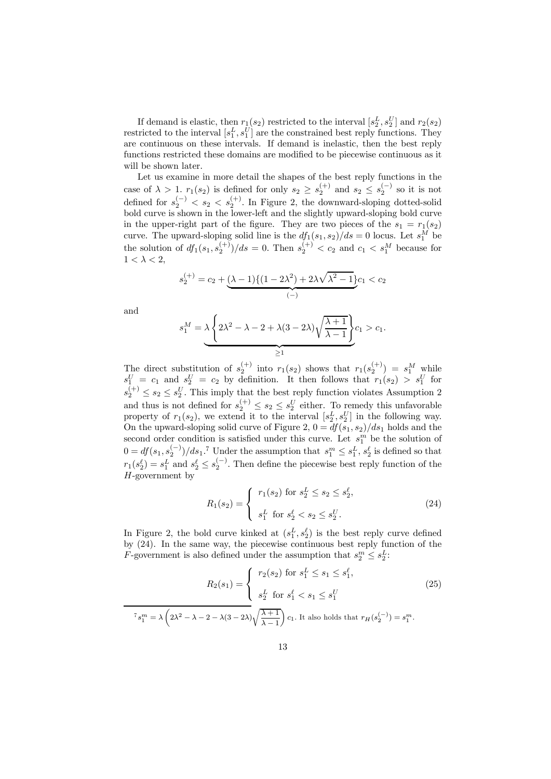If demand is elastic, then  $r_1(s_2)$  restricted to the interval  $[s_2^L, s_2^U]$  and  $r_2(s_2)$ restricted to the interval  $[s_1^L, s_1^U]$  are the constrained best reply functions. They are continuous on these intervals. If demand is inelastic, then the best reply functions restricted these domains are modified to be piecewise continuous as it will be shown later.

Let us examine in more detail the shapes of the best reply functions in the case of  $\lambda > 1$ ,  $r_1(s_2)$  is defined for only  $s_2 \geq s_2^{(+)}$  and  $s_2 \leq s_2^{(-)}$  so it is not defined for  $s_2^{(-)} < s_2 < s_2^{(+)}$ . In Figure 2, the downward-sloping dotted-solid bold curve is shown in the lower-left and the slightly upward-sloping bold curve in the upper-right part of the figure. They are two pieces of the  $s_1 = r_1(s_2)$ curve. The upward-sloping solid line is the  $df_1(s_1, s_2)/ds = 0$  locus. Let  $s_1^M$  be the solution of  $df_1(s_1, s_2^{(+)})/ds = 0$ . Then  $s_2^{(+)} < c_2$  and  $c_1 < s_1^M$  because for  $1 < \lambda < 2$ .

$$
s_2^{(+)} = c_2 + \underbrace{(\lambda - 1)\{(1 - 2\lambda^2) + 2\lambda\sqrt{\lambda^2 - 1}\}}_{(-)}
$$

and

$$
s_1^M = \underbrace{\lambda \left\{ 2\lambda^2 - \lambda - 2 + \lambda(3 - 2\lambda)\sqrt{\frac{\lambda + 1}{\lambda - 1}} \right\}}_{\geq 1} c_1 > c_1.
$$

The direct substitution of  $s_2^{(+)}$  into  $r_1(s_2)$  shows that  $r_1(s_2^{(+)}) = s_1^M$  while  $s_1^U = c_1$  and  $s_2^U = c_2$  by definition. It then follows that  $r_1(s_2) > s_1^U$  for  $s_2^{(+)} \leq s_2 \leq s_2^U$ . This imply that the best reply function violates Assumption 2 and thus is not defined for  $s_2^{(+)} \leq s_2 \leq s_2^U$  either. To remedy this unfavorable property of  $r_1(s_2)$ , we extend it to the interval  $[s_2^L, s_2^U]$  in the following way. On the upward-sloping solid curve of Figure 2,  $0 = df(s_1, s_2)/ds_1$  holds and the second order condition is satisfied under this curve. Let  $s_1^m$  be the solution of  $0 = df(s_1, s_2^{(-)})/ds_1$ .<sup>7</sup> Under the assumption that  $s_1^m \leq s_1^L$ ,  $s_2^{\ell}$  is defined so that  $r_1(s_2^{\ell}) = s_1^L$  and  $s_2^{\ell} \leq s_2^{(-)}$ . Then define the piecewise best reply function of the  $H$ -government by

$$
R_1(s_2) = \begin{cases} r_1(s_2) & \text{for } s_2^L \le s_2 \le s_2^{\ell}, \\ s_1^L & \text{for } s_2^{\ell} < s_2 \le s_2^U. \end{cases} \tag{24}
$$

In Figure 2, the bold curve kinked at  $(s_1^L, s_2^{\ell})$  is the best reply curve defined by (24). In the same way, the piecewise continuous best reply function of the *F*-government is also defined under the assumption that  $s_2^m \leq s_2^L$ :

$$
R_2(s_1) = \begin{cases} r_2(s_2) \text{ for } s_1^L \le s_1 \le s_1^{\ell}, \\ s_2^L \text{ for } s_1^{\ell} < s_1 \le s_1^U \\ s_2^L \text{ for } s_1^{\ell} < s_1 \le s_1^U \end{cases} \tag{25}
$$
\n
$$
\tau_{s_1^m} = \lambda \left( 2\lambda^2 - \lambda - 2 - \lambda(3 - 2\lambda) \sqrt{\frac{\lambda + 1}{\lambda - 1}} \right) c_1. \text{ It also holds that } r_H(s_2^{(-)}) = s_1^m.
$$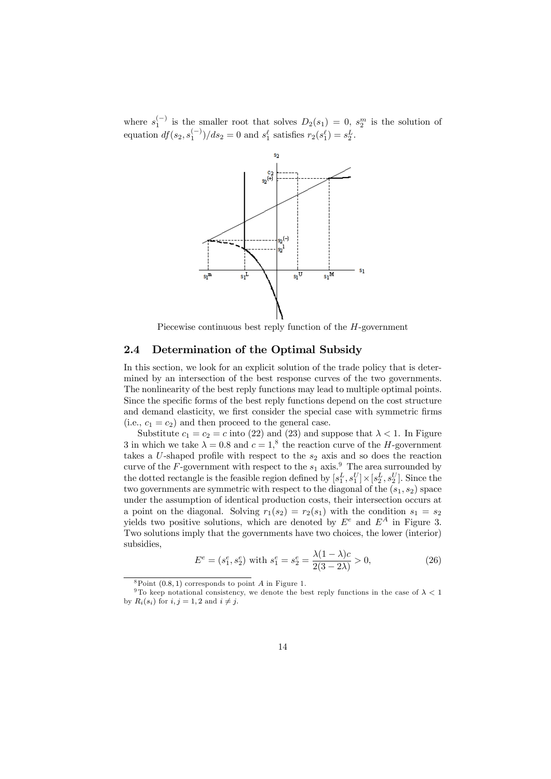where  $s_1^{(-)}$  is the smaller root that solves  $D_2(s_1)=0$ ,  $s_2^m$  is the solution of equation  $df(s_2, s_1^{(-)})/ds_2 = 0$  and  $s_1^{\ell}$  satisfies  $r_2(s_1^{\ell}) = s_2^{\ell}$ .



Piecewise continuous best reply function of the H-government

#### 2.4 Determination of the Optimal Subsidy

In this section, we look for an explicit solution of the trade policy that is determined by an intersection of the best response curves of the two governments. The nonlinearity of the best reply functions may lead to multiple optimal points. Since the specific forms of the best reply functions depend on the cost structure and demand elasticity, we first consider the special case with symmetric firms (i.e.,  $c_1 = c_2$ ) and then proceed to the general case.

Substitute  $c_1 = c_2 = c$  into (22) and (23) and suppose that  $\lambda < 1$ . In Figure 3 in which we take  $\lambda = 0.8$  and  $c = 1$ ,<sup>8</sup> the reaction curve of the *H*-government takes a  $U$ -shaped profile with respect to the  $s_2$  axis and so does the reaction curve of the F-government with respect to the  $s_1$  axis.<sup>9</sup> The area surrounded by the dotted rectangle is the feasible region defined by  $[s_1^L, s_1^U] \times [s_2^L, s_2^U]$ . Since the two governments are symmetric with respect to the diagonal of the  $(s_1, s_2)$  space under the assumption of identical production costs, their intersection occurs at a point on the diagonal. Solving  $r_1(s_2) = r_2(s_1)$  with the condition  $s_1 = s_2$ yields two positive solutions, which are denoted by  $E^e$  and  $E^A$  in Figure 3. Two solutions imply that the governments have two choices, the lower (interior) subsidies,

$$
E^{e} = (s_{1}^{e}, s_{2}^{e}) \text{ with } s_{1}^{e} = s_{2}^{e} = \frac{\lambda(1 - \lambda)c}{2(3 - 2\lambda)} > 0,
$$
\n(26)

 $8$ Point (0.8, 1) corresponds to point A in Figure 1.

<sup>&</sup>lt;sup>9</sup>To keep notational consistency, we denote the best reply functions in the case of  $\lambda < 1$ by  $R_i(s_i)$  for  $i, j = 1, 2$  and  $i \neq j$ .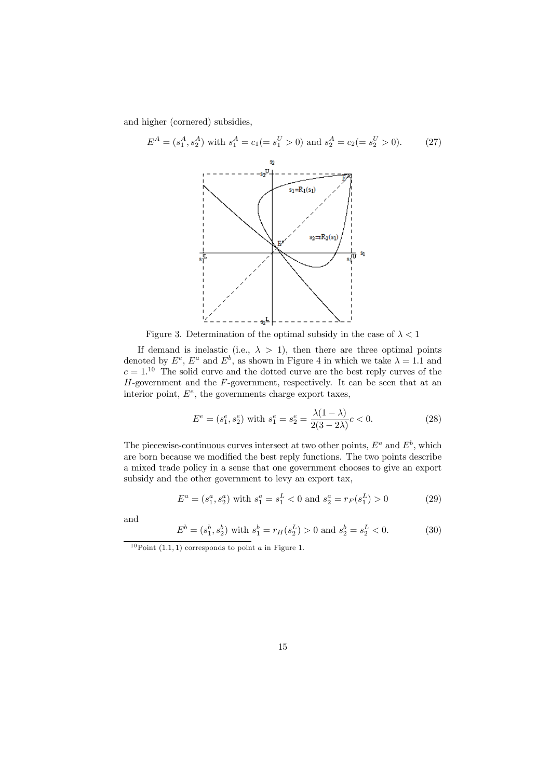and higher (cornered) subsidies,

$$
E^{A} = (s_{1}^{A}, s_{2}^{A}) \text{ with } s_{1}^{A} = c_{1} (= s_{1}^{U} > 0) \text{ and } s_{2}^{A} = c_{2} (= s_{2}^{U} > 0). \tag{27}
$$

Figure 3. Determination of the optimal subsidy in the case of  $\lambda < 1$ 

If demand is inelastic (i.e.,  $\lambda > 1$ ), then there are three optimal points denoted by  $E^e$ ,  $E^a$  and  $E^b$ , as shown in Figure 4 in which we take  $\lambda = 1.1$  and  $c = 1<sup>10</sup>$  The solid curve and the dotted curve are the best reply curves of the  $H$ -government and the  $F$ -government, respectively. It can be seen that at an interior point,  $E^e$ , the governments charge export taxes,

$$
E^{e} = (s_{1}^{e}, s_{2}^{e}) \text{ with } s_{1}^{e} = s_{2}^{e} = \frac{\lambda(1 - \lambda)}{2(3 - 2\lambda)}c < 0.
$$
 (28)

The piecewise-continuous curves intersect at two other points,  $E^a$  and  $E^b$ , which are born because we modified the best reply functions. The two points describe a mixed trade policy in a sense that one government chooses to give an export subsidy and the other government to levy an export tax,

$$
E^{a} = (s_{1}^{a}, s_{2}^{a}) \text{ with } s_{1}^{a} = s_{1}^{L} < 0 \text{ and } s_{2}^{a} = r_{F}(s_{1}^{L}) > 0 \tag{29}
$$

and

$$
E^{b} = (s_1^{b}, s_2^{b}) \text{ with } s_1^{b} = r_H(s_2^{L}) > 0 \text{ and } s_2^{b} = s_2^{L} < 0. \tag{30}
$$

 $10$ Point (1.1, 1) corresponds to point *a* in Figure 1.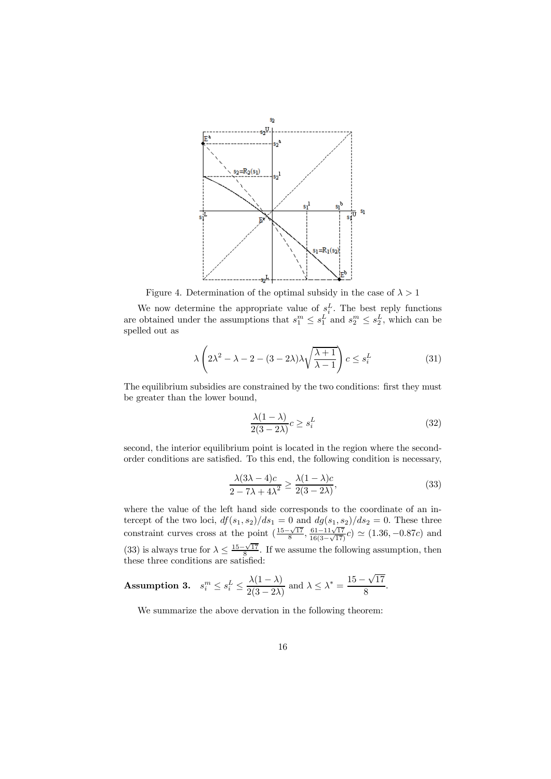

Figure 4. Determination of the optimal subsidy in the case of  $\lambda > 1$ 

We now determine the appropriate value of  $s_i^L$ . The best reply functions are obtained under the assumptions that  $s_1^m \leq s_1^L$  and  $s_2^m \leq s_2^L$ , which can be spelled out as

$$
\lambda \left( 2\lambda^2 - \lambda - 2 - (3 - 2\lambda)\lambda \sqrt{\frac{\lambda + 1}{\lambda - 1}} \right) c \le s_i^L \tag{31}
$$

The equilibrium subsidies are constrained by the two conditions: first they must be greater than the lower bound,

$$
\frac{\lambda(1-\lambda)}{2(3-2\lambda)}c \ge s_i^L\tag{32}
$$

second, the interior equilibrium point is located in the region where the secondorder conditions are satisfied. To this end, the following condition is necessary,

$$
\frac{\lambda(3\lambda - 4)c}{2 - 7\lambda + 4\lambda^2} \ge \frac{\lambda(1 - \lambda)c}{2(3 - 2\lambda)},
$$
\n(33)

where the value of the left hand side corresponds to the coordinate of an intercept of the two loci,  $df(s_1, s_2)/ds_1 = 0$  and  $dg(s_1, s_2)/ds_2 = 0$ . These three constraint curves cross at the point  $\left(\frac{15-\sqrt{17}}{8}, \frac{61-11\sqrt{17}}{16(3-\sqrt{17})}c\right) \simeq (1.36, -0.87c)$  and (33) is always true for  $\lambda \leq \frac{15-\sqrt{17}}{8}$ . If we assume the following assumption, then these three conditions are satisfied:

**Assumption 3.** 
$$
s_i^m \le s_i^L \le \frac{\lambda(1-\lambda)}{2(3-2\lambda)}
$$
 and  $\lambda \le \lambda^* = \frac{15-\sqrt{17}}{8}$ .

We summarize the above dervation in the following theorem: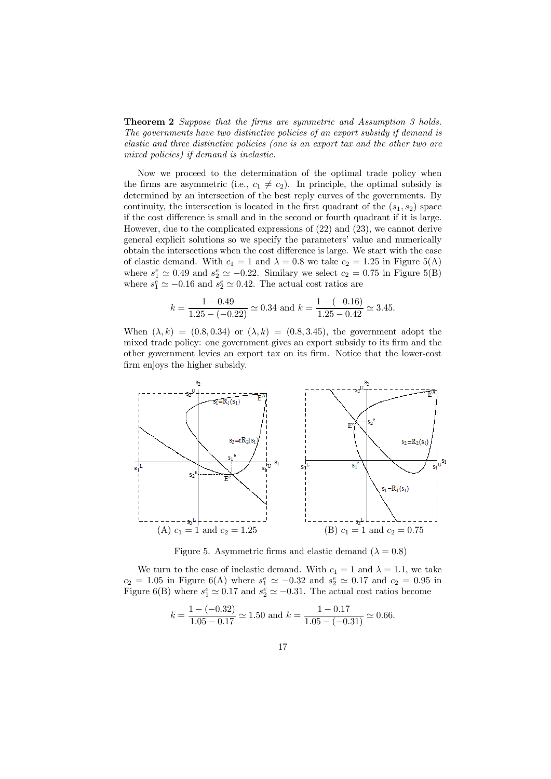Theorem 2 Suppose that the firms are symmetric and Assumption 3 holds. The governments have two distinctive policies of an export subsidy if demand is elastic and three distinctive policies (one is an export tax and the other two are mixed policies) if demand is inelastic.

Now we proceed to the determination of the optimal trade policy when the firms are asymmetric (i.e.,  $c_1 \neq c_2$ ). In principle, the optimal subsidy is determined by an intersection of the best reply curves of the governments. By continuity, the intersection is located in the first quadrant of the  $(s_1, s_2)$  space if the cost difference is small and in the second or fourth quadrant if it is large. However, due to the complicated expressions of (22) and (23), we cannot derive general explicit solutions so we specify the parameters' value and numerically obtain the intersections when the cost difference is large. We start with the case of elastic demand. With  $c_1 = 1$  and  $\lambda = 0.8$  we take  $c_2 = 1.25$  in Figure 5(A) where  $s_1^e \simeq 0.49$  and  $s_2^e \simeq -0.22$ . Similary we select  $c_2 = 0.75$  in Figure 5(B) where  $s_1^e \simeq -0.16$  and  $s_2^e \simeq 0.42$ . The actual cost ratios are

$$
k = \frac{1 - 0.49}{1.25 - (-0.22)} \simeq 0.34
$$
 and 
$$
k = \frac{1 - (-0.16)}{1.25 - 0.42} \simeq 3.45.
$$

When  $(\lambda, k) = (0.8, 0.34)$  or  $(\lambda, k) = (0.8, 3.45)$ , the government adopt the mixed trade policy: one government gives an export subsidy to its firm and the other government levies an export tax on its firm. Notice that the lower-cost firm enjoys the higher subsidy.



Figure 5. Asymmetric firms and elastic demand  $(\lambda = 0.8)$ 

We turn to the case of inelastic demand. With  $c_1 = 1$  and  $\lambda = 1.1$ , we take  $c_2 = 1.05$  in Figure 6(A) where  $s_1^e \simeq -0.32$  and  $s_2^e \simeq 0.17$  and  $c_2 = 0.95$  in Figure 6(B) where  $s_1^e \simeq 0.17$  and  $s_2^e \simeq -0.31$ . The actual cost ratios become

$$
k = \frac{1 - (-0.32)}{1.05 - 0.17} \approx 1.50
$$
 and  $k = \frac{1 - 0.17}{1.05 - (-0.31)} \approx 0.66$ .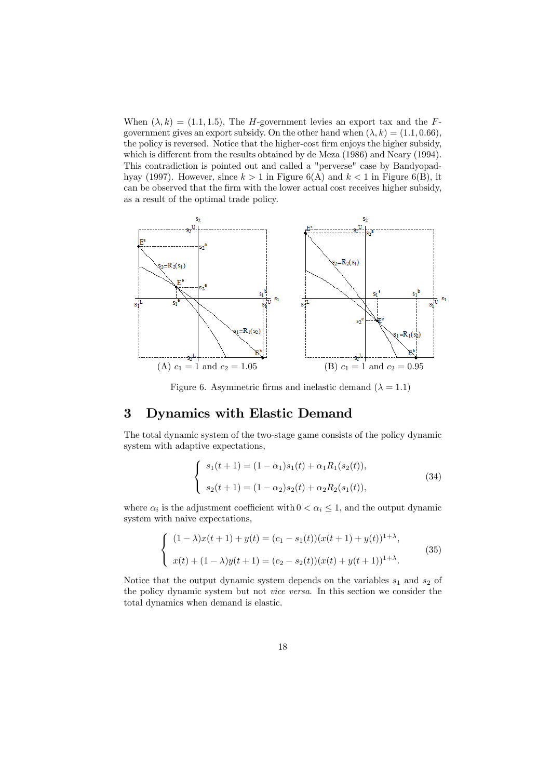When  $(\lambda, k) = (1.1, 1.5)$ , The *H*-government levies an export tax and the *F*government gives an export subsidy. On the other hand when  $(\lambda, k) = (1.1, 0.66)$ , the policy is reversed. Notice that the higher-cost firm enjoys the higher subsidy, which is different from the results obtained by de Meza (1986) and Neary (1994). This contradiction is pointed out and called a "perverse" case by Bandyopadhyay (1997). However, since  $k > 1$  in Figure 6(A) and  $k < 1$  in Figure 6(B), it can be observed that the firm with the lower actual cost receives higher subsidy, as a result of the optimal trade policy.



Figure 6. Asymmetric firms and inelastic demand  $(\lambda = 1.1)$ 

# 3 Dynamics with Elastic Demand

The total dynamic system of the two-stage game consists of the policy dynamic system with adaptive expectations,

$$
\begin{cases}\ns_1(t+1) = (1-\alpha_1)s_1(t) + \alpha_1 R_1(s_2(t)), \\
s_2(t+1) = (1-\alpha_2)s_2(t) + \alpha_2 R_2(s_1(t)),\n\end{cases}
$$
\n(34)

where  $\alpha_i$  is the adjustment coefficient with  $0 < \alpha_i \leq 1$ , and the output dynamic system with naive expectations,

$$
\begin{cases} (1 - \lambda)x(t+1) + y(t) = (c_1 - s_1(t))(x(t+1) + y(t))^{1+\lambda}, \\ x(t) + (1 - \lambda)y(t+1) = (c_2 - s_2(t))(x(t) + y(t+1))^{1+\lambda}. \end{cases}
$$
(35)

Notice that the output dynamic system depends on the variables  $s_1$  and  $s_2$  of the policy dynamic system but not vice versa. In this section we consider the total dynamics when demand is elastic.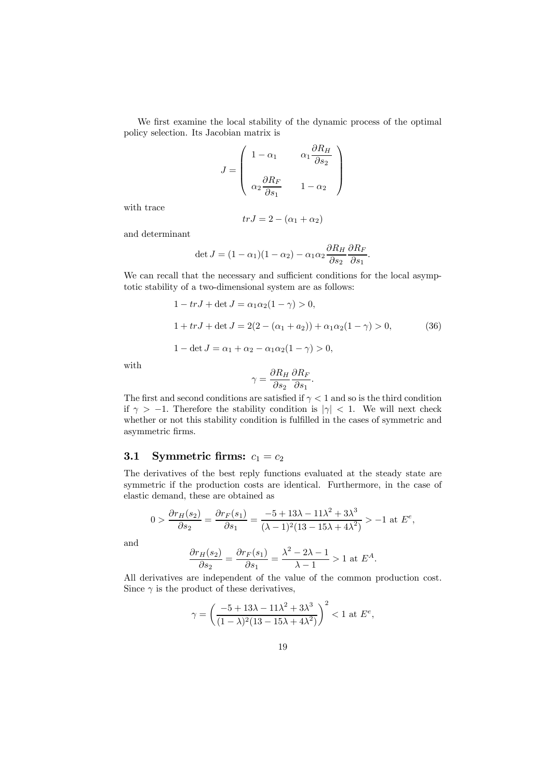We first examine the local stability of the dynamic process of the optimal policy selection. Its Jacobian matrix is

$$
J = \begin{pmatrix} 1 - \alpha_1 & \alpha_1 \frac{\partial R_H}{\partial s_2} \\ \alpha_2 \frac{\partial R_F}{\partial s_1} & 1 - \alpha_2 \end{pmatrix}
$$

with trace

$$
trJ = 2 - (\alpha_1 + \alpha_2)
$$

and determinant

$$
\det J = (1 - \alpha_1)(1 - \alpha_2) - \alpha_1 \alpha_2 \frac{\partial R_H}{\partial s_2} \frac{\partial R_F}{\partial s_1}.
$$

We can recall that the necessary and sufficient conditions for the local asymptotic stability of a two-dimensional system are as follows:

$$
1 - trJ + \det J = \alpha_1 \alpha_2 (1 - \gamma) > 0,
$$
  
\n
$$
1 + trJ + \det J = 2(2 - (\alpha_1 + \alpha_2)) + \alpha_1 \alpha_2 (1 - \gamma) > 0,
$$
 (36)  
\n
$$
1 - \det J = \alpha_1 + \alpha_2 - \alpha_1 \alpha_2 (1 - \gamma) > 0,
$$

with

$$
\gamma = \frac{\partial R_H}{\partial s_2} \frac{\partial R_F}{\partial s_1}.
$$

The first and second conditions are satisfied if  $\gamma < 1$  and so is the third condition if  $\gamma > -1$ . Therefore the stability condition is  $|\gamma| < 1$ . We will next check whether or not this stability condition is fulfilled in the cases of symmetric and asymmetric firms.

### 3.1 Symmetric firms:  $c_1 = c_2$

The derivatives of the best reply functions evaluated at the steady state are symmetric if the production costs are identical. Furthermore, in the case of elastic demand, these are obtained as

$$
0 > \frac{\partial r_H(s_2)}{\partial s_2} = \frac{\partial r_F(s_1)}{\partial s_1} = \frac{-5 + 13\lambda - 11\lambda^2 + 3\lambda^3}{(\lambda - 1)^2 (13 - 15\lambda + 4\lambda^2)} > -1 \text{ at } E^e,
$$

and

$$
\frac{\partial r_H(s_2)}{\partial s_2} = \frac{\partial r_F(s_1)}{\partial s_1} = \frac{\lambda^2 - 2\lambda - 1}{\lambda - 1} > 1 \text{ at } E^A.
$$

All derivatives are independent of the value of the common production cost. Since  $\gamma$  is the product of these derivatives,

$$
\gamma = \left(\frac{-5 + 13\lambda - 11\lambda^2 + 3\lambda^3}{(1 - \lambda)^2 (13 - 15\lambda + 4\lambda^2)}\right)^2 < 1 \text{ at } E^e,
$$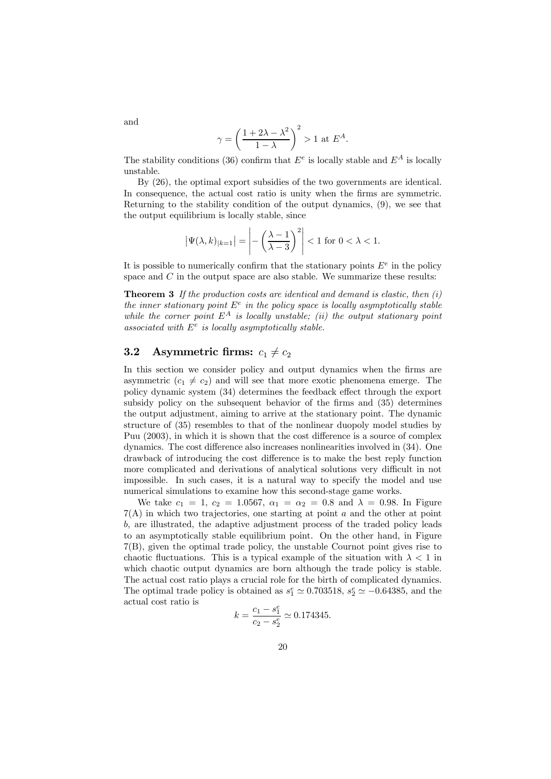$$
\gamma = \left(\frac{1+2\lambda - \lambda^2}{1-\lambda}\right)^2 > 1 \text{ at } E^A.
$$

The stability conditions (36) confirm that  $E^e$  is locally stable and  $E^A$  is locally unstable.

By (26), the optimal export subsidies of the two governments are identical. In consequence, the actual cost ratio is unity when the firms are symmetric. Returning to the stability condition of the output dynamics, (9), we see that the output equilibrium is locally stable, since

$$
\left|\Psi(\lambda,k)_{|k=1}\right| = \left|-\left(\frac{\lambda-1}{\lambda-3}\right)^2\right| < 1 \text{ for } 0 < \lambda < 1.
$$

It is possible to numerically confirm that the stationary points  $E^e$  in the policy space and  $C$  in the output space are also stable. We summarize these results:

**Theorem 3** If the production costs are identical and demand is elastic, then  $(i)$ the inner stationary point  $E^e$  in the policy space is locally asymptotically stable while the corner point  $E^A$  is locally unstable; (ii) the output stationary point associated with  $E^e$  is locally asymptotically stable.

#### 3.2 Asymmetric firms:  $c_1 \neq c_2$

In this section we consider policy and output dynamics when the firms are asymmetric  $(c_1 \neq c_2)$  and will see that more exotic phenomena emerge. The policy dynamic system (34) determines the feedback effect through the export subsidy policy on the subsequent behavior of the firms and (35) determines the output adjustment, aiming to arrive at the stationary point. The dynamic structure of (35) resembles to that of the nonlinear duopoly model studies by Puu (2003), in which it is shown that the cost difference is a source of complex dynamics. The cost difference also increases nonlinearities involved in (34). One drawback of introducing the cost difference is to make the best reply function more complicated and derivations of analytical solutions very difficult in not impossible. In such cases, it is a natural way to specify the model and use numerical simulations to examine how this second-stage game works.

We take  $c_1 = 1, c_2 = 1.0567, \alpha_1 = \alpha_2 = 0.8$  and  $\lambda = 0.98$ . In Figure 7(A) in which two trajectories, one starting at point a and the other at point b, are illustrated, the adaptive adjustment process of the traded policy leads to an asymptotically stable equilibrium point. On the other hand, in Figure 7(B), given the optimal trade policy, the unstable Cournot point gives rise to chaotic fluctuations. This is a typical example of the situation with  $\lambda < 1$  in which chaotic output dynamics are born although the trade policy is stable. The actual cost ratio plays a crucial role for the birth of complicated dynamics. The optimal trade policy is obtained as  $s_1^e \simeq 0.703518$ ,  $s_2^e \simeq -0.64385$ , and the actual cost ratio is

$$
k = \frac{c_1 - s_1^e}{c_2 - s_2^e} \simeq 0.174345.
$$

and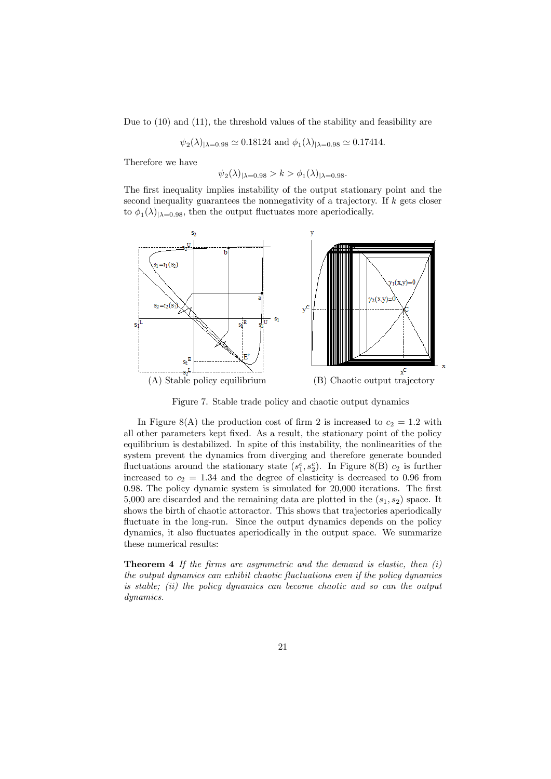Due to (10) and (11), the threshold values of the stability and feasibility are

 $\psi_2(\lambda)_{|\lambda=0.98} \simeq 0.18124$  and  $\phi_1(\lambda)_{|\lambda=0.98} \simeq 0.17414$ .

Therefore we have

$$
\psi_2(\lambda)|_{\lambda=0.98} > k > \phi_1(\lambda)|_{\lambda=0.98}.
$$

The first inequality implies instability of the output stationary point and the second inequality guarantees the nonnegativity of a trajectory. If  $k$  gets closer to  $\phi_1(\lambda)_{|\lambda=0.98}$ , then the output fluctuates more aperiodically.



Figure 7. Stable trade policy and chaotic output dynamics

In Figure 8(A) the production cost of firm 2 is increased to  $c_2 = 1.2$  with all other parameters kept fixed. As a result, the stationary point of the policy equilibrium is destabilized. In spite of this instability, the nonlinearities of the system prevent the dynamics from diverging and therefore generate bounded fluctuations around the stationary state  $(s_1^e, s_2^e)$ . In Figure 8(B)  $c_2$  is further increased to  $c_2 = 1.34$  and the degree of elasticity is decreased to 0.96 from 0.98. The policy dynamic system is simulated for 20,000 iterations. The first 5,000 are discarded and the remaining data are plotted in the  $(s_1, s_2)$  space. It shows the birth of chaotic attoractor. This shows that trajectories aperiodically fluctuate in the long-run. Since the output dynamics depends on the policy dynamics, it also fluctuates aperiodically in the output space. We summarize these numerical results:

**Theorem 4** If the firms are asymmetric and the demand is elastic, then  $(i)$ the output dynamics can exhibit chaotic fluctuations even if the policy dynamics is stable; (ii) the policy dynamics can become chaotic and so can the output dynamics.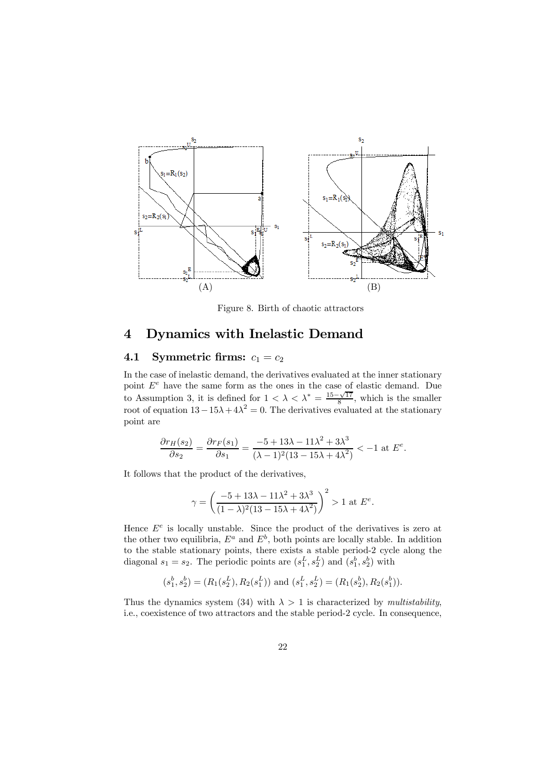

Figure 8. Birth of chaotic attractors

## 4 Dynamics with Inelastic Demand

### 4.1 Symmetric firms:  $c_1 = c_2$

In the case of inelastic demand, the derivatives evaluated at the inner stationary point  $E^e$  have the same form as the ones in the case of elastic demand. Due to Assumption 3, it is defined for  $1 < \lambda < \lambda^* = \frac{15-\sqrt{17}}{8}$ , which is the smaller root of equation  $13-15\lambda+4\lambda^2=0$ . The derivatives evaluated at the stationary point are

$$
\frac{\partial r_H(s_2)}{\partial s_2} = \frac{\partial r_F(s_1)}{\partial s_1} = \frac{-5 + 13\lambda - 11\lambda^2 + 3\lambda^3}{(\lambda - 1)^2 (13 - 15\lambda + 4\lambda^2)} < -1 \text{ at } E^e.
$$

It follows that the product of the derivatives,

$$
\gamma = \left(\frac{-5 + 13\lambda - 11\lambda^2 + 3\lambda^3}{(1 - \lambda)^2 (13 - 15\lambda + 4\lambda^2)}\right)^2 > 1
$$
 at  $E^e$ .

Hence  $E^e$  is locally unstable. Since the product of the derivatives is zero at the other two equilibria,  $E^a$  and  $E^b$ , both points are locally stable. In addition to the stable stationary points, there exists a stable period-2 cycle along the diagonal  $s_1 = s_2$ . The periodic points are  $(s_1^L, s_2^L)$  and  $(s_1^b, s_2^b)$  with

$$
(s_1^b, s_2^b) = (R_1(s_2^L), R_2(s_1^L))
$$
 and  $(s_1^L, s_2^L) = (R_1(s_2^b), R_2(s_1^b)).$ 

Thus the dynamics system (34) with  $\lambda > 1$  is characterized by multistability, i.e., coexistence of two attractors and the stable period-2 cycle. In consequence,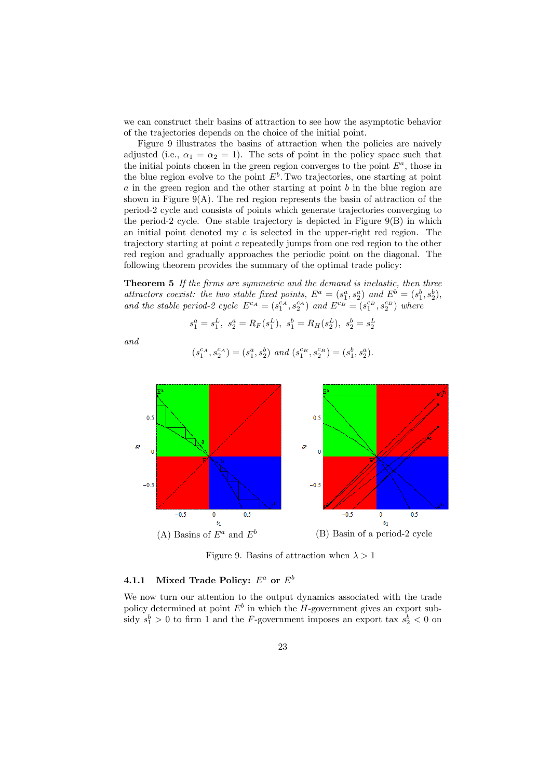we can construct their basins of attraction to see how the asymptotic behavior of the trajectories depends on the choice of the initial point.

Figure 9 illustrates the basins of attraction when the policies are naively adjusted (i.e.,  $\alpha_1 = \alpha_2 = 1$ ). The sets of point in the policy space such that the initial points chosen in the green region converges to the point  $E^a$ , those in the blue region evolve to the point  $E^b$ . Two trajectories, one starting at point a in the green region and the other starting at point b in the blue region are shown in Figure  $9(A)$ . The red region represents the basin of attraction of the period-2 cycle and consists of points which generate trajectories converging to the period-2 cycle. One stable trajectory is depicted in Figure  $9(B)$  in which an initial point denoted my  $c$  is selected in the upper-right red region. The trajectory starting at point c repeatedly jumps from one red region to the other red region and gradually approaches the periodic point on the diagonal. The following theorem provides the summary of the optimal trade policy:

Theorem 5 If the firms are symmetric and the demand is inelastic, then three attractors coexist: the two stable fixed points,  $E^a = (s_1^a, s_2^a)$  and  $E^b = (s_1^b, s_2^b)$ , and the stable period-2 cycle  $E^{c_A} = (s_1^{c_A}, s_2^{c_A})$  and  $E^{c_B} = (s_1^{c_B}, s_2^{c_B})$  where

$$
s_1^a = s_1^L, \ s_2^a = R_F(s_1^L), \ s_1^b = R_H(s_2^L), \ s_2^b = s_2^L
$$

and

$$
\left(s_{1}^{c_{A}},s_{2}^{c_{A}}\right)=\left(s_{1}^{a},s_{2}^{b}\right)\ and\ \left(s_{1}^{c_{B}},s_{2}^{c_{B}}\right)=\left(s_{1}^{b},s_{2}^{a}\right).
$$



Figure 9. Basins of attraction when  $\lambda > 1$ 

#### 4.1.1 Mixed Trade Policy:  $E^a$  or  $E^b$

We now turn our attention to the output dynamics associated with the trade policy determined at point  $E^b$  in which the H-government gives an export subsidy  $s_1^b > 0$  to firm 1 and the *F*-government imposes an export tax  $s_2^b < 0$  on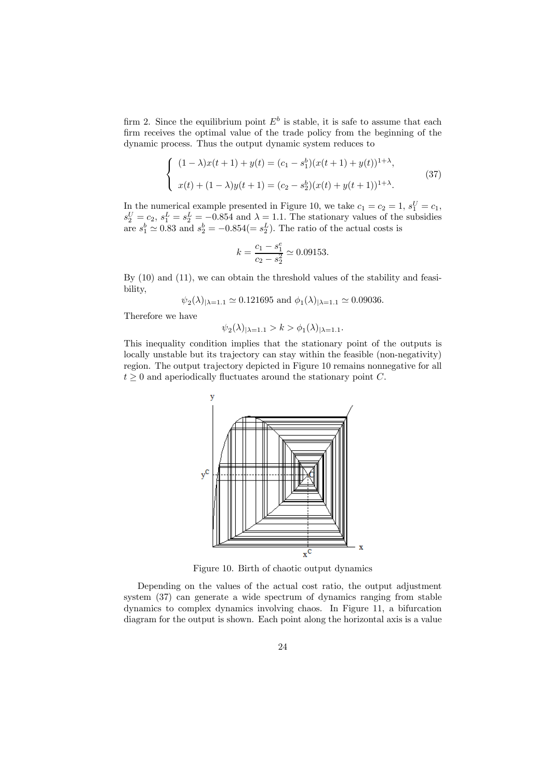firm 2. Since the equilibrium point  $E^b$  is stable, it is safe to assume that each firm receives the optimal value of the trade policy from the beginning of the dynamic process. Thus the output dynamic system reduces to

$$
\begin{cases} (1 - \lambda)x(t+1) + y(t) = (c_1 - s_1^b)(x(t+1) + y(t))^{1+\lambda}, \\ x(t) + (1 - \lambda)y(t+1) = (c_2 - s_2^b)(x(t) + y(t+1))^{1+\lambda}. \end{cases}
$$
(37)

In the numerical example presented in Figure 10, we take  $c_1 = c_2 = 1$ ,  $s_1^U = c_1$ ,  $s_2^U = c_2$ ,  $s_1^L = s_2^L = -0.854$  and  $\lambda = 1.1$ . The stationary values of the subsidies are  $s_1^b \simeq 0.83$  and  $s_2^b = -0.854 (= s_2^L)$ . The ratio of the actual costs is

$$
k = \frac{c_1 - s_1^e}{c_2 - s_2^2} \simeq 0.09153.
$$

By (10) and (11), we can obtain the threshold values of the stability and feasibility,

 $\psi_2(\lambda)_{|\lambda=1.1} \simeq 0.121695$  and  $\phi_1(\lambda)_{|\lambda=1.1} \simeq 0.09036$ .

Therefore we have

$$
\psi_2(\lambda)|_{\lambda=1.1} > k > \phi_1(\lambda)|_{\lambda=1.1}.
$$

This inequality condition implies that the stationary point of the outputs is locally unstable but its trajectory can stay within the feasible (non-negativity) region. The output trajectory depicted in Figure 10 remains nonnegative for all  $t \geq 0$  and aperiodically fluctuates around the stationary point C.



Figure 10. Birth of chaotic output dynamics

Depending on the values of the actual cost ratio, the output adjustment system (37) can generate a wide spectrum of dynamics ranging from stable dynamics to complex dynamics involving chaos. In Figure 11, a bifurcation diagram for the output is shown. Each point along the horizontal axis is a value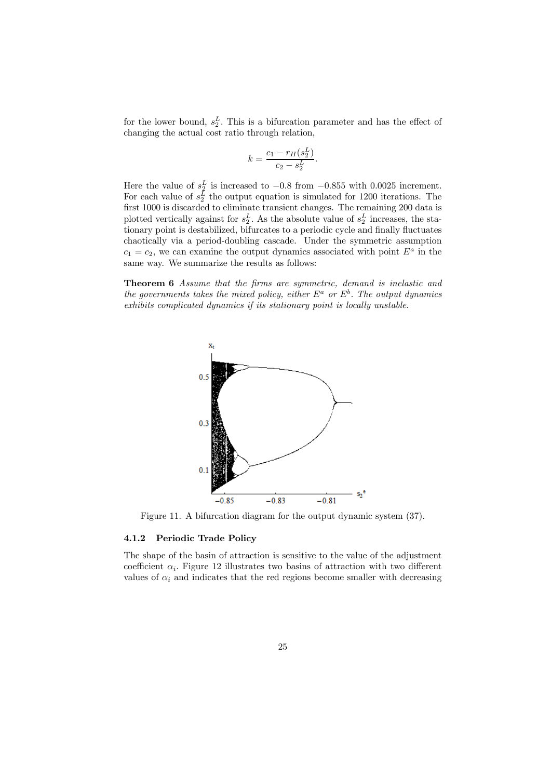for the lower bound,  $s_2^L$ . This is a bifurcation parameter and has the effect of changing the actual cost ratio through relation,

$$
k = \frac{c_1 - r_H(s_2^L)}{c_2 - s_2^L}.
$$

Here the value of  $s_2^L$  is increased to  $-0.8$  from  $-0.855$  with 0.0025 increment. For each value of  $s_2^L$  the output equation is simulated for 1200 iterations. The first 1000 is discarded to eliminate transient changes. The remaining 200 data is plotted vertically against for  $s_2^L$ . As the absolute value of  $s_2^L$  increases, the stationary point is destabilized, bifurcates to a periodic cycle and finally fluctuates chaotically via a period-doubling cascade. Under the symmetric assumption  $c_1 = c_2$ , we can examine the output dynamics associated with point  $E^a$  in the same way. We summarize the results as follows:

Theorem 6 Assume that the firms are symmetric, demand is inelastic and the governments takes the mixed policy, either  $E^a$  or  $E^b$ . The output dynamics exhibits complicated dynamics if its stationary point is locally unstable.



Figure 11. A bifurcation diagram for the output dynamic system (37).

#### 4.1.2 Periodic Trade Policy

The shape of the basin of attraction is sensitive to the value of the adjustment coefficient  $\alpha_i$ . Figure 12 illustrates two basins of attraction with two different values of  $\alpha_i$  and indicates that the red regions become smaller with decreasing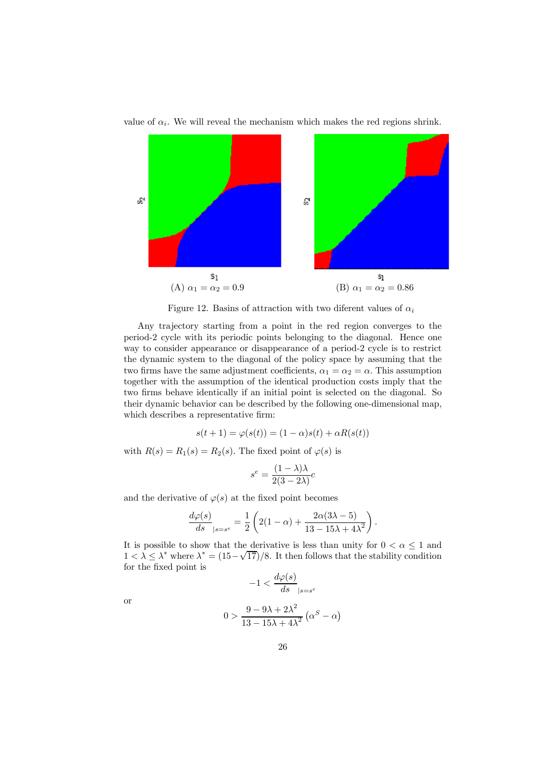

value of  $\alpha_i$ . We will reveal the mechanism which makes the red regions shrink.

Figure 12. Basins of attraction with two diferent values of  $\alpha_i$ 

Any trajectory starting from a point in the red region converges to the period-2 cycle with its periodic points belonging to the diagonal. Hence one way to consider appearance or disappearance of a period-2 cycle is to restrict the dynamic system to the diagonal of the policy space by assuming that the two firms have the same adjustment coefficients,  $\alpha_1 = \alpha_2 = \alpha$ . This assumption together with the assumption of the identical production costs imply that the two firms behave identically if an initial point is selected on the diagonal. So their dynamic behavior can be described by the following one-dimensional map, which describes a representative firm:

$$
s(t+1) = \varphi(s(t)) = (1-\alpha)s(t) + \alpha R(s(t))
$$

with  $R(s) = R_1(s) = R_2(s)$ . The fixed point of  $\varphi(s)$  is

$$
s^e = \frac{(1 - \lambda)\lambda}{2(3 - 2\lambda)}c
$$

and the derivative of  $\varphi(s)$  at the fixed point becomes

$$
\frac{d\varphi(s)}{ds}_{|s=s^e} = \frac{1}{2} \left( 2(1-\alpha) + \frac{2\alpha(3\lambda - 5)}{13 - 15\lambda + 4\lambda^2} \right).
$$

It is possible to show that the derivative is less than unity for  $0 < \alpha \leq 1$  and  $1 < \lambda \leq \lambda^*$  where  $\lambda^* = (15-\sqrt{17})/8$ . It then follows that the stability condition for the fixed point is  $\mathcal{L}$  d $\mathcal{L}$ 

$$
-1 < \frac{d\varphi(s)}{ds}_{|s=s^e}
$$

or

$$
0 > \frac{9 - 9\lambda + 2\lambda^2}{13 - 15\lambda + 4\lambda^2} \left(\alpha^S - \alpha\right)
$$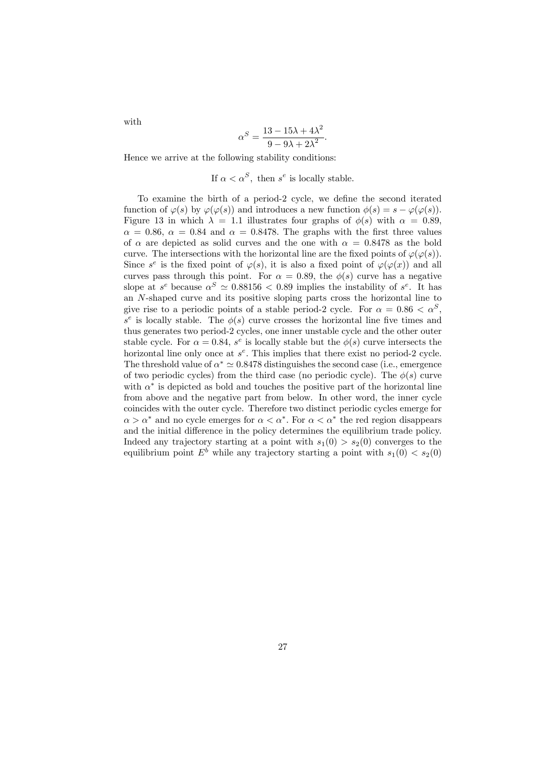with

$$
\alpha^S = \frac{13 - 15\lambda + 4\lambda^2}{9 - 9\lambda + 2\lambda^2}.
$$

Hence we arrive at the following stability conditions:

If 
$$
\alpha < \alpha^S
$$
, then  $s^e$  is locally stable.

To examine the birth of a period-2 cycle, we define the second iterated function of  $\varphi(s)$  by  $\varphi(\varphi(s))$  and introduces a new function  $\phi(s) = s - \varphi(\varphi(s))$ . Figure 13 in which  $\lambda = 1.1$  illustrates four graphs of  $\phi(s)$  with  $\alpha = 0.89$ .  $\alpha = 0.86, \alpha = 0.84$  and  $\alpha = 0.8478$ . The graphs with the first three values of  $\alpha$  are depicted as solid curves and the one with  $\alpha = 0.8478$  as the bold curve. The intersections with the horizontal line are the fixed points of  $\varphi(\varphi(s))$ . Since  $s^e$  is the fixed point of  $\varphi(s)$ , it is also a fixed point of  $\varphi(\varphi(x))$  and all curves pass through this point. For  $\alpha = 0.89$ , the  $\phi(s)$  curve has a negative slope at  $s^e$  because  $\alpha^S \simeq 0.88156 < 0.89$  implies the instability of  $s^e$ . It has an N-shaped curve and its positive sloping parts cross the horizontal line to give rise to a periodic points of a stable period-2 cycle. For  $\alpha = 0.86 < \alpha^S$ ,  $s^e$  is locally stable. The  $\phi(s)$  curve crosses the horizontal line five times and thus generates two period-2 cycles, one inner unstable cycle and the other outer stable cycle. For  $\alpha = 0.84$ , s<sup>e</sup> is locally stable but the  $\phi(s)$  curve intersects the horizontal line only once at  $s^e$ . This implies that there exist no period-2 cycle. The threshold value of  $\alpha^* \simeq 0.8478$  distinguishes the second case (i.e., emergence of two periodic cycles) from the third case (no periodic cycle). The  $\phi(s)$  curve with  $\alpha^*$  is depicted as bold and touches the positive part of the horizontal line from above and the negative part from below. In other word, the inner cycle coincides with the outer cycle. Therefore two distinct periodic cycles emerge for  $\alpha > \alpha^*$  and no cycle emerges for  $\alpha < \alpha^*$ . For  $\alpha < \alpha^*$  the red region disappears and the initial difference in the policy determines the equilibrium trade policy. Indeed any trajectory starting at a point with  $s_1(0) > s_2(0)$  converges to the equilibrium point  $E^b$  while any trajectory starting a point with  $s_1(0) < s_2(0)$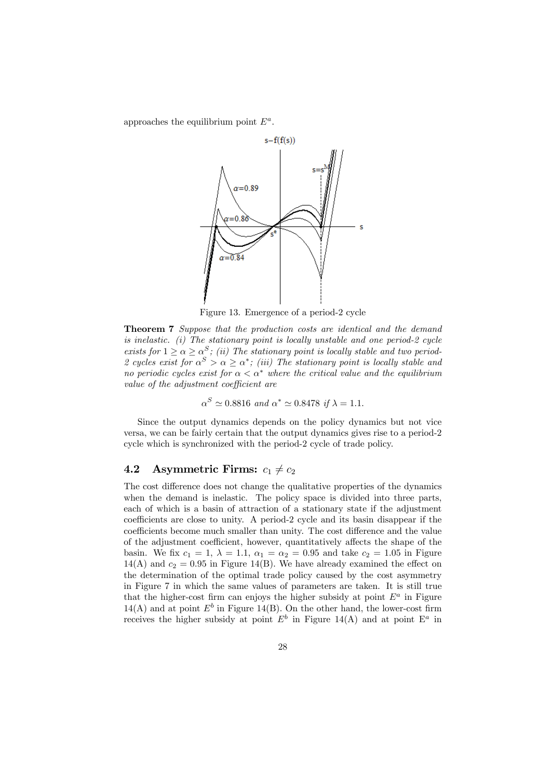approaches the equilibrium point  $E^a$ .



Figure 13. Emergence of a period-2 cycle

Theorem 7 Suppose that the production costs are identical and the demand is inelastic. (i) The stationary point is locally unstable and one period-2 cycle exists for  $1 \ge \alpha \ge \alpha^S$ ; (ii) The stationary point is locally stable and two period-2 cycles exist for  $\alpha^{S} > \alpha \geq \alpha^{*}$ ; (iii) The stationary point is locally stable and no periodic cycles exist for  $\alpha < \alpha^*$  where the critical value and the equilibrium value of the adjustment coefficient are

$$
\alpha^S \simeq 0.8816
$$
 and  $\alpha^* \simeq 0.8478$  if  $\lambda = 1.1$ .

Since the output dynamics depends on the policy dynamics but not vice versa, we can be fairly certain that the output dynamics gives rise to a period-2 cycle which is synchronized with the period-2 cycle of trade policy.

### 4.2 Asymmetric Firms:  $c_1 \neq c_2$

The cost difference does not change the qualitative properties of the dynamics when the demand is inelastic. The policy space is divided into three parts, each of which is a basin of attraction of a stationary state if the adjustment coefficients are close to unity. A period-2 cycle and its basin disappear if the coefficients become much smaller than unity. The cost difference and the value of the adjustment coefficient, however, quantitatively affects the shape of the basin. We fix  $c_1 = 1$ ,  $\lambda = 1.1$ ,  $\alpha_1 = \alpha_2 = 0.95$  and take  $c_2 = 1.05$  in Figure  $14(A)$  and  $c_2 = 0.95$  in Figure 14(B). We have already examined the effect on the determination of the optimal trade policy caused by the cost asymmetry in Figure 7 in which the same values of parameters are taken. It is still true that the higher-cost firm can enjoys the higher subsidy at point  $E^a$  in Figure  $14(A)$  and at point  $E^b$  in Figure 14(B). On the other hand, the lower-cost firm receives the higher subsidy at point  $E^b$  in Figure 14(A) and at point  $E^a$  in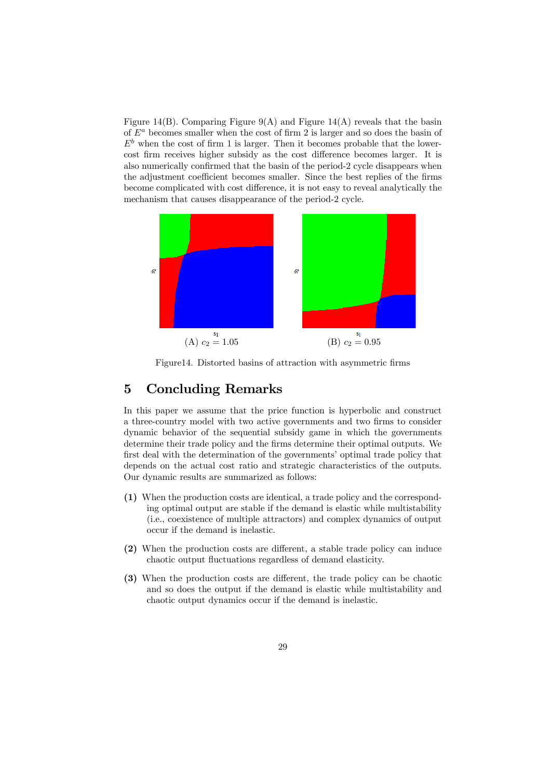Figure 14(B). Comparing Figure 9(A) and Figure 14(A) reveals that the basin of  $E^a$  becomes smaller when the cost of firm 2 is larger and so does the basin of  $E<sup>b</sup>$  when the cost of firm 1 is larger. Then it becomes probable that the lowercost firm receives higher subsidy as the cost difference becomes larger. It is also numerically confirmed that the basin of the period-2 cycle disappears when the adjustment coefficient becomes smaller. Since the best replies of the firms become complicated with cost difference, it is not easy to reveal analytically the mechanism that causes disappearance of the period-2 cycle.



Figure14. Distorted basins of attraction with asymmetric firms

### 5 Concluding Remarks

In this paper we assume that the price function is hyperbolic and construct a three-country model with two active governments and two firms to consider dynamic behavior of the sequential subsidy game in which the governments determine their trade policy and the firms determine their optimal outputs. We first deal with the determination of the governments' optimal trade policy that depends on the actual cost ratio and strategic characteristics of the outputs. Our dynamic results are summarized as follows:

- (1) When the production costs are identical, a trade policy and the corresponding optimal output are stable if the demand is elastic while multistability (i.e., coexistence of multiple attractors) and complex dynamics of output occur if the demand is inelastic.
- (2) When the production costs are different, a stable trade policy can induce chaotic output fluctuations regardless of demand elasticity.
- (3) When the production costs are different, the trade policy can be chaotic and so does the output if the demand is elastic while multistability and chaotic output dynamics occur if the demand is inelastic.